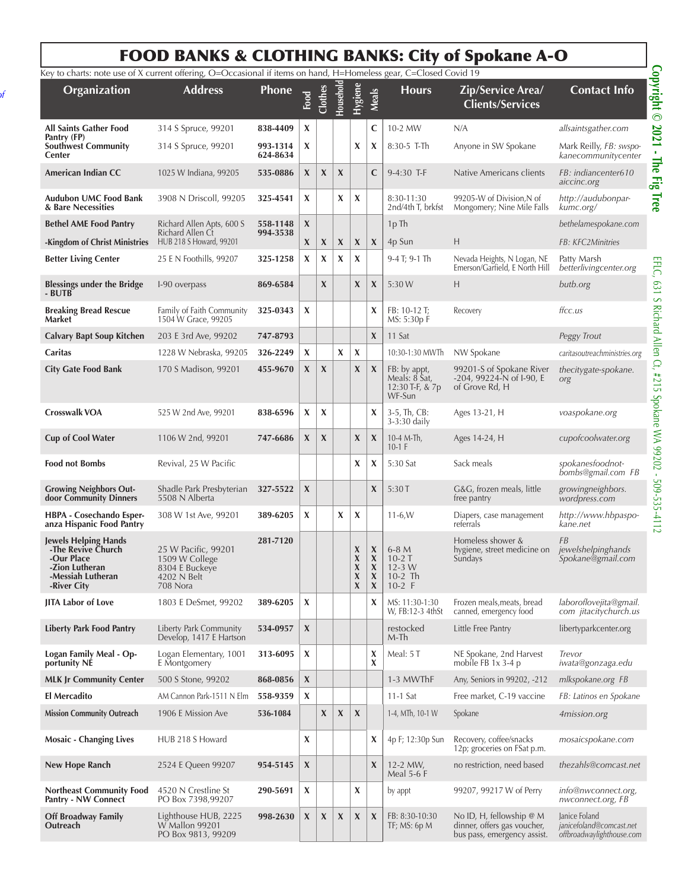## FOOD BANKS & CLOTHING BANKS: City of Spokane A-O

*2nd and 4th Saturday of* 

**Off Broadway Family** 

Lighthouse HUB, 2225 W Mallon 99201 PO Box 9813, 99209

**Outreach** 

| Key to charts: note use of X current offering, O=Occasional if items on hand, H=Homeless gear, C=Closed Covid 19      |                                                                                    |                      |                           |                           |                  |                                                                   |                                                                                                                         |                                                            |                                                                        |                                                      |
|-----------------------------------------------------------------------------------------------------------------------|------------------------------------------------------------------------------------|----------------------|---------------------------|---------------------------|------------------|-------------------------------------------------------------------|-------------------------------------------------------------------------------------------------------------------------|------------------------------------------------------------|------------------------------------------------------------------------|------------------------------------------------------|
| Organization                                                                                                          | <b>Address</b>                                                                     | Phone                | Food                      | Clothes                   | Household        | Hygiene                                                           | <b>Meals</b>                                                                                                            | <b>Hours</b>                                               | Zip/Service Area/<br><b>Clients/Services</b>                           | <b>Contact Info</b>                                  |
| <b>All Saints Gather Food</b>                                                                                         | 314 S Spruce, 99201                                                                | 838-4409             | $\boldsymbol{\mathsf{X}}$ |                           |                  |                                                                   | $\mathbf C$                                                                                                             | 10-2 MW                                                    | N/A                                                                    | allsaintsgather.com                                  |
| Pantry (FP)<br><b>Southwest Community</b><br>Center                                                                   | 314 S Spruce, 99201                                                                | 993-1314<br>624-8634 | X                         |                           |                  | X                                                                 | X                                                                                                                       | 8:30-5 T-Th                                                | Anyone in SW Spokane                                                   | Mark Reilly, FB: swspo-<br>kanecommunitycenter       |
| American Indian CC                                                                                                    | 1025 W Indiana, 99205                                                              | 535-0886             | X                         | X                         | X                |                                                                   | C                                                                                                                       | 9-4:30 T-F                                                 | Native Americans clients                                               | FB: indiancenter610<br>aiccinc.org                   |
| Audubon UMC Food Bank<br>& Bare Necessities                                                                           | 3908 N Driscoll, 99205                                                             | 325-4541             | X                         |                           | X                | X                                                                 |                                                                                                                         | 8:30-11:30<br>2nd/4th T, brkfst                            | 99205-W of Division, N of<br>Mongomery; Nine Mile Falls                | http://audubonpar-<br>kumc.org/                      |
| <b>Bethel AME Food Pantry</b>                                                                                         | Richard Allen Apts, 600 S                                                          | 558-1148             | X                         |                           |                  |                                                                   |                                                                                                                         | 1p Th                                                      |                                                                        | bethelamespokane.com                                 |
| -Kingdom of Christ Ministries                                                                                         | Richard Allen Ct<br>HUB 218 S Howard, 99201                                        | 994-3538             | X                         | X                         | X                | X                                                                 | $\boldsymbol{X}$                                                                                                        | 4p Sun                                                     | H                                                                      | FB: KFC2Minitries                                    |
| <b>Better Living Center</b>                                                                                           | 25 E N Foothills, 99207                                                            | 325-1258             | X                         | X                         | X                | X                                                                 |                                                                                                                         | 9-4 T; 9-1 Th                                              | Nevada Heights, N Logan, NE<br>Emerson/Garfield, E North Hill          | Patty Marsh<br>betterlivingcenter.org                |
| <b>Blessings under the Bridge</b><br>- BUTB                                                                           | I-90 overpass                                                                      | 869-6584             |                           | X                         |                  | $\boldsymbol{\mathsf{X}}$                                         | $\boldsymbol{\mathsf{X}}$                                                                                               | 5:30 W                                                     | H                                                                      | butb.org                                             |
| <b>Breaking Bread Rescue</b><br><b>Market</b>                                                                         | Family of Faith Community<br>1504 W Grace, 99205                                   | 325-0343             | X                         |                           |                  |                                                                   | X                                                                                                                       | FB: 10-12 T;<br>MS: 5:30p F                                | Recovery                                                               | ffcc.us                                              |
| <b>Calvary Bapt Soup Kitchen</b>                                                                                      | 203 E 3rd Ave, 99202                                                               | 747-8793             |                           |                           |                  |                                                                   | $\boldsymbol{\mathsf{X}}$                                                                                               | 11 Sat                                                     |                                                                        | Peggy Trout                                          |
| Caritas                                                                                                               | 1228 W Nebraska, 99205                                                             | 326-2249             | X                         |                           | X                | X                                                                 |                                                                                                                         | 10:30-1:30 MWTh                                            | NW Spokane                                                             | caritasoutreachministries.org                        |
| <b>City Gate Food Bank</b>                                                                                            | 170 S Madison, 99201                                                               | 455-9670             | X                         | $\boldsymbol{\mathsf{X}}$ |                  | $\boldsymbol{\mathsf{X}}$                                         | $\boldsymbol{\mathsf{X}}$                                                                                               | FB: by appt,<br>Meals: 8 Sat,<br>12:30 T-F, & 7p<br>WF-Sun | 99201-S of Spokane River<br>-204, 99224-N of I-90, E<br>of Grove Rd, H | thecitygate-spokane.<br>org                          |
| <b>Crosswalk VOA</b>                                                                                                  | 525 W 2nd Ave, 99201                                                               | 838-6596             | X                         | X                         |                  |                                                                   | $\boldsymbol{\mathsf{x}}$                                                                                               | $3-5$ , Th, CB:<br>$3-3:30$ daily                          | Ages 13-21, H                                                          | voaspokane.org                                       |
| <b>Cup of Cool Water</b>                                                                                              | 1106 W 2nd, 99201                                                                  | 747-6686             | X                         | $\boldsymbol{\mathsf{X}}$ |                  | $\boldsymbol{\mathsf{X}}$                                         | X                                                                                                                       | 10-4 M-Th,<br>$10-1$ F                                     | Ages 14-24, H                                                          | cupofcoolwater.org                                   |
| <b>Food not Bombs</b>                                                                                                 | Revival, 25 W Pacific                                                              |                      |                           |                           |                  | X                                                                 | X                                                                                                                       | 5:30 Sat                                                   | Sack meals                                                             | spokanesfoodnot-<br>bombs@gmail.com FB               |
| <b>Growing Neighbors Out-</b><br>door Community Dinners                                                               | Shadle Park Presbyterian<br>5508 N Alberta                                         | 327-5522             | X                         |                           |                  |                                                                   | X                                                                                                                       | 5:30T                                                      | G&G, frozen meals, little<br>free pantry                               | growingneighbors.<br>wordpress.com                   |
| HBPA - Cosechando Esper-<br>anza Hispanic Food Pantry                                                                 | 308 W 1st Ave, 99201                                                               | 389-6205             | X                         |                           | X                | X                                                                 |                                                                                                                         | $11-6. W$                                                  | Diapers, case management<br>referrals                                  | http://www.hbpaspo-<br>kane.net                      |
| <b>Jewels Helping Hands</b><br>-The Revive Church<br>-Our Place<br>-Zion Lutheran<br>-Messiah Lutheran<br>-River City | 25 W Pacific, 99201<br>1509 W College<br>8304 E Buckeye<br>4202 N Belt<br>708 Nora | 281-7120             |                           |                           |                  | $\pmb{\chi}$<br>$\pmb{\chi}$<br>$\pmb{\chi}$<br>$\pmb{\chi}$<br>X | $\boldsymbol{\mathsf{X}}$<br>$\pmb{\chi}$<br>$\boldsymbol{\mathsf{X}}$<br>$\boldsymbol{\mathsf{X}}$<br>$\boldsymbol{X}$ | $6-8M$<br>$10-2$ T<br>$12 - 3$ W<br>$10-2$ Th<br>$10-2$ F  | Homeless shower &<br>hygiene, street medicine on<br>Sundays            | <b>FB</b><br>jewelshelpinghands<br>Spokane@gmail.com |
| JITA Labor of Love                                                                                                    | 1803 E DeSmet, 99202                                                               | 389-6205             | X                         |                           |                  |                                                                   | X                                                                                                                       | MS: 11:30-1:30<br>W, FB:12-3 4thSt                         | Frozen meals, meats, bread<br>canned, emergency food                   | laboroflovejita@gmail.<br>com jitacitychurch.us      |
| <b>Liberty Park Food Pantry</b>                                                                                       | Liberty Park Community<br>Develop, 1417 E Hartson                                  | 534-0957             | X                         |                           |                  |                                                                   |                                                                                                                         | restocked<br>M-Th                                          | Little Free Pantry                                                     | libertyparkcenter.org                                |
| Logan Family Meal - Op-<br>portunity NÉ                                                                               | Logan Elementary, 1001<br>E Montgomery                                             | 313-6095             | X                         |                           |                  |                                                                   | X<br>X                                                                                                                  | Meal: 5 T                                                  | NE Spokane, 2nd Harvest<br>mobile FB $1x$ 3-4 p                        | Trevor<br>iwata@gonzaga.edu                          |
| <b>MLK Jr Community Center</b>                                                                                        | 500 S Stone, 99202                                                                 | 868-0856             | $\boldsymbol{\mathsf{X}}$ |                           |                  |                                                                   |                                                                                                                         | 1-3 MWThF                                                  | Any, Seniors in 99202, -212                                            | mlkspokane.org FB                                    |
| <b>El Mercadito</b>                                                                                                   | AM Cannon Park-1511 N Elm                                                          | 558-9359             | X                         |                           |                  |                                                                   |                                                                                                                         | 11-1 Sat                                                   | Free market, C-19 vaccine                                              | FB: Latinos en Spokane                               |
| <b>Mission Community Outreach</b>                                                                                     | 1906 E Mission Ave                                                                 | 536-1084             |                           | $\boldsymbol{\chi}$       | $\boldsymbol{X}$ | $\boldsymbol{\mathsf{X}}$                                         |                                                                                                                         | 1-4, MTh, 10-1 W                                           | Spokane                                                                | 4mission.org                                         |
| <b>Mosaic - Changing Lives</b>                                                                                        | HUB 218 S Howard                                                                   |                      | X                         |                           |                  |                                                                   | X                                                                                                                       | 4p F; 12:30p Sun                                           | Recovery, coffee/snacks<br>12p; groceries on FSat p.m.                 | mosaicspokane.com                                    |
| New Hope Ranch                                                                                                        | 2524 E Queen 99207                                                                 | 954-5145             | $\boldsymbol{\mathsf{X}}$ |                           |                  |                                                                   | $\boldsymbol{\mathsf{X}}$                                                                                               | 12-2 MW,<br><b>Meal 5-6 F</b>                              | no restriction, need based                                             | thezahls@comcast.net                                 |
| <b>Northeast Community Food</b><br>Pantry - NW Connect                                                                | 4520 N Crestline St<br>PO Box 7398,99207                                           | 290-5691             | $\boldsymbol{\mathsf{X}}$ |                           |                  | X                                                                 |                                                                                                                         | by appt                                                    | 99207, 99217 W of Perry                                                | info@nwconnect.org,<br>nwconnect.org, FB             |

**998-2630**  $|\mathbf{X}|\mathbf{X}|\mathbf{X}|\mathbf{X}|\mathbf{X}|\mathbf{S}$  FB: 8:30-10:30

TF; MS: 6p M

No ID, H, fellowship @ M dinner, offers gas voucher, bus pass, emergency assist. Janice Foland

*janicefoland@comcast.net offbroadwaylighthouse.com*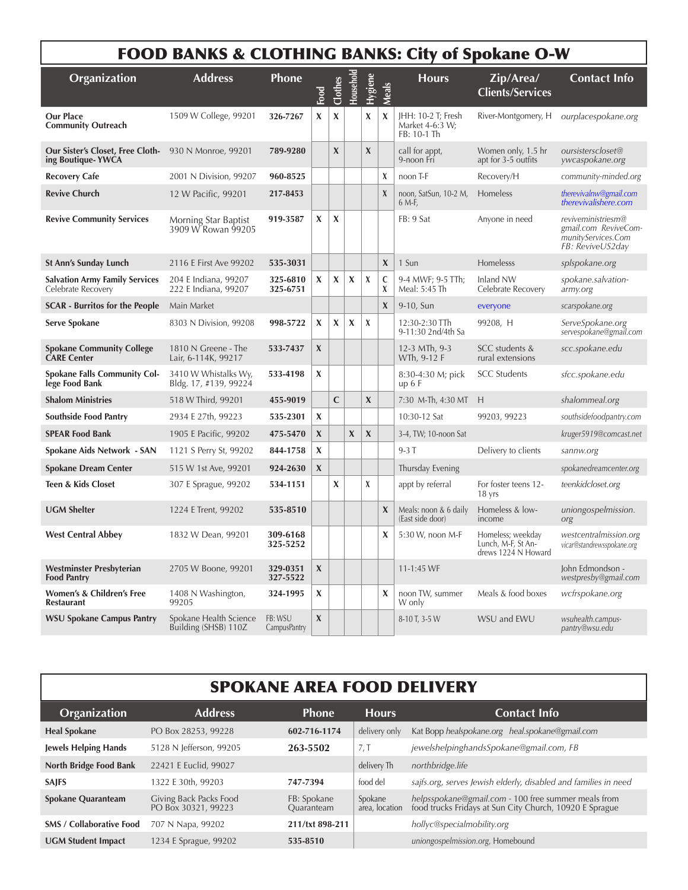|                                                              | <b>FOOD BANKS &amp; CLOTHING BANKS: City of Spokane O-W</b> |                                |                           |                           |           |                  |                           |                                                      |                                                                |                                                                                      |
|--------------------------------------------------------------|-------------------------------------------------------------|--------------------------------|---------------------------|---------------------------|-----------|------------------|---------------------------|------------------------------------------------------|----------------------------------------------------------------|--------------------------------------------------------------------------------------|
| Organization                                                 | <b>Address</b>                                              | Phone                          | Food                      | Clothes                   | Household | Hygiene          | Meals                     | <b>Hours</b>                                         | Zip/Area/<br><b>Clients/Services</b>                           | <b>Contact Info</b>                                                                  |
| <b>Our Place</b><br><b>Community Outreach</b>                | 1509 W College, 99201                                       | 326-7267                       | X                         | X                         |           | X                | X                         | JHH: 10-2 T; Fresh<br>Market 4-6:3 W;<br>FB: 10-1 Th | River-Montgomery, H                                            | ourplacespokane.org                                                                  |
| <b>Our Sister's Closet, Free Cloth-</b><br>ing Boutique-YWCA | 930 N Monroe, 99201                                         | 789-9280                       |                           | $\boldsymbol{\mathsf{X}}$ |           | $\boldsymbol{X}$ |                           | call for appt,<br>9-noon Fri                         | Women only, 1.5 hr<br>apt for 3-5 outfits                      | oursisterscloset@<br>ywcaspokane.org                                                 |
| <b>Recovery Cafe</b>                                         | 2001 N Division, 99207                                      | 960-8525                       |                           |                           |           |                  | X                         | noon T-F                                             | Recovery/H                                                     | community-minded.org                                                                 |
| <b>Revive Church</b>                                         | 12 W Pacific, 99201                                         | 217-8453                       |                           |                           |           |                  | $\chi$                    | noon, SatSun, 10-2 M,<br>6 M-F,                      | Homeless                                                       | therevivalnw@gmail.com<br>therevivalishere.com                                       |
| <b>Revive Community Services</b>                             | Morning Star Baptist<br>3909 W Rowan 99205                  | 919-3587                       | X                         | X                         |           |                  |                           | FB: 9 Sat                                            | Anyone in need                                                 | reviveministriesm@<br>gmail.com ReviveCom-<br>munityServices.Com<br>FB: ReviveUS2day |
| <b>St Ann's Sunday Lunch</b>                                 | 2116 E First Ave 99202                                      | 535-3031                       |                           |                           |           |                  | $\boldsymbol{\mathsf{X}}$ | 1 Sun                                                | Homelesss                                                      | splspokane.org                                                                       |
| <b>Salvation Army Family Services</b><br>Celebrate Recovery  | 204 E Indiana, 99207<br>222 E Indiana, 99207                | 325-6810<br>325-6751           | X                         | X                         | X         | X                | C<br>X                    | 9-4 MWF; 9-5 TTh;<br>Meal: 5:45 Th                   | Inland NW<br>Celebrate Recovery                                | spokane.salvation-<br>army.org                                                       |
| <b>SCAR</b> - Burritos for the People                        | Main Market                                                 |                                |                           |                           |           |                  | $\boldsymbol{X}$          | 9-10, Sun                                            | everyone                                                       | scarspokane.org                                                                      |
| Serve Spokane                                                | 8303 N Division, 99208                                      | 998-5722                       | X                         | X                         | X         | X                |                           | 12:30-2:30 TTh<br>9-11:30 2nd/4th Sa                 | 99208, H                                                       | ServeSpokane.org<br>servespokane@gmail.com                                           |
| <b>Spokane Community College</b><br><b>CARE Center</b>       | 1810 N Greene - The<br>Lair, 6-114K, 99217                  | 533-7437                       | X                         |                           |           |                  |                           | 12-3 MTh, 9-3<br>WTh, 9-12 F                         | SCC students &<br>rural extensions                             | scc.spokane.edu                                                                      |
| <b>Spokane Falls Community Col-</b><br>lege Food Bank        | 3410 W Whistalks Wy,<br>Bldg. 17, #139, 99224               | 533-4198                       | X                         |                           |           |                  |                           | 8:30-4:30 M; pick<br>up 6 F                          | <b>SCC</b> Students                                            | sfcc.spokane.edu                                                                     |
| <b>Shalom Ministries</b>                                     | 518 W Third, 99201                                          | 455-9019                       |                           | $\mathsf{C}$              |           | $\mathbf x$      |                           | 7:30 M-Th, 4:30 MT                                   | H                                                              | shalommeal.org                                                                       |
| Southside Food Pantry                                        | 2934 E 27th, 99223                                          | 535-2301                       | X                         |                           |           |                  |                           | 10:30-12 Sat                                         | 99203, 99223                                                   | southsidefoodpantry.com                                                              |
| <b>SPEAR Food Bank</b>                                       | 1905 E Pacific, 99202                                       | 475-5470                       | $\boldsymbol{\chi}$       |                           | X         | $\boldsymbol{X}$ |                           | 3-4, TW; 10-noon Sat                                 |                                                                | kruger5919@comcast.net                                                               |
| Spokane Aids Network - SAN                                   | 1121 S Perry St, 99202                                      | 844-1758                       | X                         |                           |           |                  |                           | $9-3T$                                               | Delivery to clients                                            | sannw.org                                                                            |
| <b>Spokane Dream Center</b>                                  | 515 W 1st Ave, 99201                                        | 924-2630                       | $\pmb{\chi}$              |                           |           |                  |                           | Thursday Evening                                     |                                                                | spokanedreamcenter.org                                                               |
| <b>Teen &amp; Kids Closet</b>                                | 307 E Sprague, 99202                                        | 534-1151                       |                           | X                         |           | X                |                           | appt by referral                                     | For foster teens 12-<br>18 yrs                                 | teenkidcloset.org                                                                    |
| <b>UGM Shelter</b>                                           | 1224 E Trent, 99202                                         | 535-8510                       |                           |                           |           |                  | $\boldsymbol{\mathsf{X}}$ | Meals: noon & 6 daily<br>(East side door)            | Homeless & low-<br>income                                      | uniongospelmission.<br>org                                                           |
| <b>West Central Abbey</b>                                    | 1832 W Dean, 99201                                          | 309-6168<br>325-5252           |                           |                           |           |                  | X                         | 5:30 W, noon M-F                                     | Homeless; weekday<br>Lunch, M-F, St An-<br>drews 1224 N Howard | westcentralmission.org<br>vicar@standrewsspokane.org                                 |
| Westminster Presbyterian<br><b>Food Pantry</b>               | 2705 W Boone, 99201                                         | 329-0351<br>327-5522           | $\mathbf X$               |                           |           |                  |                           | $11 - 1:45$ WF                                       |                                                                | John Edmondson -<br>westpresby@gmail.com                                             |
| Women's & Children's Free<br><b>Restaurant</b>               | 1408 N Washington,<br>99205                                 | 324-1995                       | $\boldsymbol{\mathsf{X}}$ |                           |           |                  | X                         | noon TW, summer<br>W only                            | Meals & food boxes                                             | wcfrspokane.org                                                                      |
| <b>WSU Spokane Campus Pantry</b>                             | Spokane Health Science<br>Building (SHSB) 110Z              | FB: WSU<br><b>CampusPantry</b> | $\mathbf X$               |                           |           |                  |                           | 8-10 T, 3-5 W                                        | WSU and EWU                                                    | wsuhealth.campus-<br>pantry@wsu.edu                                                  |

|  |  | <b>SPOKANE AREA FOOD DELIVERY</b> |
|--|--|-----------------------------------|
|--|--|-----------------------------------|

| Organization                    | <b>Address</b>                                | <b>Phone</b>              | <b>Hours</b>              | <b>Contact Info</b>                                                                                            |
|---------------------------------|-----------------------------------------------|---------------------------|---------------------------|----------------------------------------------------------------------------------------------------------------|
| <b>Heal Spokane</b>             | PO Box 28253, 99228                           | 602-716-1174              | delivery only             | Kat Bopp healspokane.org heal.spokane@gmail.com                                                                |
| <b>Jewels Helping Hands</b>     | 5128 N Jefferson, 99205                       | 263-5502                  | 7, T                      | jewelshelpinghandsSpokane@gmail.com, FB                                                                        |
| <b>North Bridge Food Bank</b>   | 22421 E Euclid, 99027                         |                           | delivery Th               | northbridge.life                                                                                               |
| <b>SAJFS</b>                    | 1322 E 30th, 99203                            | 747-7394                  | food del                  | sajfs.org, serves Jewish elderly, disabled and families in need                                                |
| <b>Spokane Quaranteam</b>       | Giving Back Packs Food<br>PO Box 30321, 99223 | FB: Spokane<br>Quaranteam | Spokane<br>area, location | helpsspokane@gmail.com - 100 free summer meals from<br>food trucks Fridays at Sun City Church, 10920 E Sprague |
| <b>SMS / Collaborative Food</b> | 707 N Napa, 99202                             | 211/txt 898-211           |                           | hollyc@specialmobility.org                                                                                     |
| <b>UGM Student Impact</b>       | 1234 E Sprague, 99202                         | 535-8510                  |                           | uniongospelmission.org, Homebound                                                                              |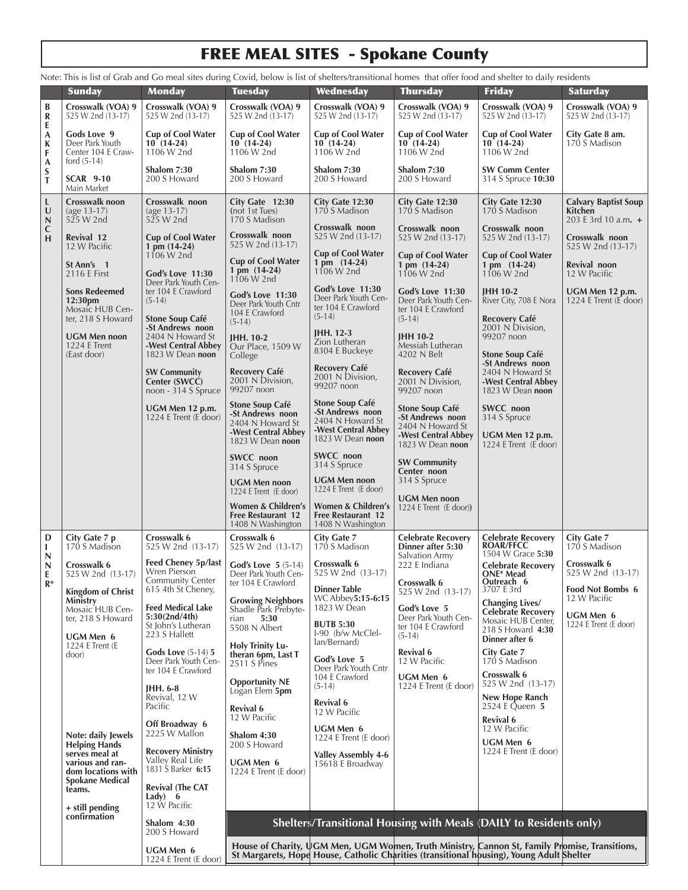# FREE MEAL SITES - Spokane County

|                  |                                                                                  |                                                                               |                                                                                 |                                                                            |                                                                                   | Note: This is list of Grab and Go meal sites during Covid, below is list of shelters/transitional homes that offer food and shelter to daily residents                                    |                                                                 |  |  |  |  |
|------------------|----------------------------------------------------------------------------------|-------------------------------------------------------------------------------|---------------------------------------------------------------------------------|----------------------------------------------------------------------------|-----------------------------------------------------------------------------------|-------------------------------------------------------------------------------------------------------------------------------------------------------------------------------------------|-----------------------------------------------------------------|--|--|--|--|
|                  | <b>Sunday</b>                                                                    | <b>Monday</b>                                                                 | <b>Tuesday</b>                                                                  | Wednesday                                                                  | <b>Thursday</b>                                                                   | <b>Friday</b>                                                                                                                                                                             | <b>Saturday</b>                                                 |  |  |  |  |
| B<br>R<br>E      | Crosswalk (VOA) 9<br>525 W 2nd (13-17)                                           | Crosswalk (VOA) 9<br>525 W 2nd (13-17)                                        | Crosswalk (VOA) 9<br>525 W 2nd (13-17)                                          | Crosswalk (VOA) 9<br>525 W 2nd (13-17)                                     | Crosswalk (VOA) 9<br>525 W 2nd (13-17)                                            | Crosswalk (VOA) 9<br>525 W 2nd (13-17)                                                                                                                                                    | Crosswalk (VOA) 9<br>525 W 2nd (13-17)                          |  |  |  |  |
| A<br>K<br>F<br>A | Gods Love 9<br>Deer Park Youth<br>Center 104 E Craw-<br>ford $(5-14)$            | <b>Cup of Cool Water</b><br>$10(14-24)$<br>1106 W 2nd                         | <b>Cup of Cool Water</b><br>$10(14-24)$<br>1106 W 2nd                           | <b>Cup of Cool Water</b><br>$10(14-24)$<br>1106 W 2nd                      | <b>Cup of Cool Water</b><br>$10(14-24)$<br>1106 W 2nd                             | <b>Cup of Cool Water</b><br>$10(14-24)$<br>1106 W 2nd                                                                                                                                     | City Gate 8 am.<br>170 S Madison                                |  |  |  |  |
| S<br>T           | <b>SCAR 9-10</b><br>Main Market                                                  | Shalom 7:30<br>200 S Howard                                                   | Shalom 7:30<br>200 S Howard                                                     | Shalom 7:30<br>200 S Howard                                                | Shalom 7:30<br>200 S Howard                                                       | <b>SW Comm Center</b><br>314 S Spruce 10:30                                                                                                                                               |                                                                 |  |  |  |  |
| L<br>U<br>N      | Crosswalk noon<br>$(age 13-17)$<br>525 W 2nd                                     | Crosswalk noon<br>(age 13-17)<br>525 W 2nd                                    | City Gate 12:30<br>(not 1st Tues)<br>170 S Madison                              | City Gate 12:30<br>170 S Madison                                           | City Gate 12:30<br>170 S Madison                                                  | City Gate 12:30<br>170 S Madison                                                                                                                                                          | <b>Calvary Baptist Soup</b><br>Kitchen<br>203 E 3rd 10 a.m. $+$ |  |  |  |  |
| $\mathbf C$<br>H | Revival 12<br>12 W Pacific                                                       | <b>Cup of Cool Water</b><br>1 pm (14-24)                                      | Crosswalk noon<br>525 W 2nd (13-17)                                             | Crosswalk noon<br>525 W 2nd (13-17)                                        | Crosswalk noon<br>525 W 2nd (13-17)                                               | Crosswalk noon<br>525 W 2nd (13-17)                                                                                                                                                       | Crosswalk noon<br>525 W 2nd (13-17)                             |  |  |  |  |
|                  | St Ann's 1<br>2116 E First                                                       | $1106 W$ 2nd<br>God's Love 11:30<br>Deer Park Youth Cen-                      | <b>Cup of Cool Water</b><br>$1 \,\mathrm{pm} \, (14-24)$<br>1106 W 2nd          | <b>Cup of Cool Water</b><br>1 pm (14-24)<br>1106 W 2nd                     | <b>Cup of Cool Water</b><br>$1 \text{ pm } (14-24)$<br>1106 W 2nd                 | <b>Cup of Cool Water</b><br>1 pm $(14-24)$<br>1106 W 2nd                                                                                                                                  | Revival noon<br>12 W Pacific                                    |  |  |  |  |
|                  | <b>Sons Redeemed</b><br>12:30pm<br>Mosaic HUB Cen-<br>ter, 218 S Howard          | ter 104 E Crawford<br>$(5-14)$<br><b>Stone Soup Café</b>                      | God's Love 11:30<br>Deer Park Youth Cntr<br>104 E Crawford                      | God's Love 11:30<br>Deer Park Youth Cen-<br>ter 104 E Crawford<br>$(5-14)$ | <b>God's Love 11:30</b><br>Deer Park Youth Cen-<br>ter 104 E Crawford<br>$(5-14)$ | JHH 10-2<br>River City, 708 E Nora<br><b>Recovery Café</b>                                                                                                                                | UGM Men 12 p.m.<br>1224 E Trent $(E$ door)                      |  |  |  |  |
|                  | <b>UGM Men noon</b><br><b>1224 E Trent</b>                                       | -St Andrews noon<br>2404 N Howard St<br>-West Central Abbey                   | $(5-14)$<br><b>IHH. 10-2</b><br>Our Place, 1509 W                               | JHH. 12-3<br>Zion Lutheran<br>8304 E Buckeye                               | <b>JHH 10-2</b><br>Messiah Lutheran                                               | 2001 N Division,<br>99207 noon                                                                                                                                                            |                                                                 |  |  |  |  |
|                  | (East door)                                                                      | 1823 W Dean noon<br><b>SW Community</b><br>Center (SWCC)                      | College<br><b>Recovery Café</b><br>2001 N Division,                             | Recovery Café<br>2001 N Division,<br>99207 noon                            | 4202 N Belt<br>Recovery Café<br>2001 N Division,                                  | <b>Stone Soup Café</b><br>-St Andrews noon<br>2404 N Howard St<br>-West Central Abbey                                                                                                     |                                                                 |  |  |  |  |
|                  |                                                                                  | noon - 314 S Spruce<br>UGM Men 12 p.m.                                        | 99207 noon<br><b>Stone Soup Café</b>                                            | <b>Stone Soup Café</b><br>-St Andrews noon                                 | 99207 noon<br><b>Stone Soup Café</b>                                              | 1823 W Dean noon<br>SWCC noon                                                                                                                                                             |                                                                 |  |  |  |  |
|                  |                                                                                  | 1224 E Trent (E door)                                                         | -St Andrews noon<br>2404 N Howard St<br>-West Central Abbey<br>1823 W Dean noon | 2404 N Howard St<br>-West Central Abbey<br>1823 W Dean noon                | -St Andrews noon<br>2404 N Howard St<br>-West Central Abbey<br>1823 W Dean noon   | 314 S Spruce<br>UGM Men 12 p.m.<br>1224 E Trent (E door)                                                                                                                                  |                                                                 |  |  |  |  |
|                  |                                                                                  |                                                                               | SWCC noon<br>314 S Spruce                                                       | SWCC noon<br>314 S Spruce                                                  | <b>SW Community</b><br>Center noon                                                |                                                                                                                                                                                           |                                                                 |  |  |  |  |
|                  |                                                                                  |                                                                               | <b>UGM Men noon</b><br>1224 E Trent (E door)                                    | <b>UGM Men noon</b><br>1224 E Trent (E door)                               | 314 S Spruce<br><b>UGM Men noon</b>                                               |                                                                                                                                                                                           |                                                                 |  |  |  |  |
|                  |                                                                                  |                                                                               | Women & Children's<br>Free Restaurant 12<br>1408 N Washington                   | Women & Children's<br>Free Restaurant 12<br>1408 N Washington              | 1224 E Trent (E door))                                                            |                                                                                                                                                                                           |                                                                 |  |  |  |  |
| D<br>L<br>N      | City Gate 7 p<br>170 S Madison                                                   | Crosswalk 6<br>525 W 2nd (13-17)                                              | Crosswalk 6<br>525 W 2nd (13-17)                                                | <b>City Gate 7</b><br>170 S Madison                                        | <b>Celebrate Recovery</b><br>Dinner after 5:30<br>Salvation Army                  | Celebrate Recovery<br>ROAR/FFCC<br>1504 W Grace 5:30                                                                                                                                      | City Gate 7<br>170 S Madison                                    |  |  |  |  |
| N<br>E<br>$R*$   | Crosswalk 6<br>525 W 2nd (13-17)                                                 | Feed Cheney 5p/last<br>Wren Pierson<br>Community Center<br>615 4th St Cheney, | <b>God's Love 5</b> $(5-14)$<br>Deer Park Youth Cen-<br>ter 104 E Crawford      | Crosswalk 6<br>525 W 2nd (13-17)<br><b>Dinner Table</b>                    | 222 E Indiana<br>Crosswalk 6                                                      | <b>Celebrate Recovery</b><br>ONE* Mead<br>Outreach 6<br>3707 E 3rd                                                                                                                        | Crosswalk 6<br>525 W 2nd (13-17)<br>Food Not Bombs 6            |  |  |  |  |
|                  | <b>Kingdom of Christ</b><br>Ministry<br>Mosaic HUB Cen-<br>ter, 218 S Howard     | <b>Feed Medical Lake</b><br>5:30(2nd/4th)                                     | <b>Growing Neighbors</b><br>Shadle Park Prebyte-<br>5:30<br>rian                | WC Abbey5:15-6:15<br>1823 W Dean                                           | 525 W 2nd (13-17)<br>God's Love 5<br>Deer Park Youth Cen-                         | Changing Lives/<br><b>Celebrate Recovery</b>                                                                                                                                              | 12 W Pacific<br>UGM Men 6                                       |  |  |  |  |
|                  | UGM Men 6<br>1224 E Trent (E)                                                    | St John's Lutheran<br>223 S Hallett                                           | 5508 N Albert<br><b>Holy Trinity Lu-</b>                                        | <b>BUTB 5:30</b><br>I-90 (b/w McClel-<br>lan/Bernard)                      | ter 104 E Crawford<br>$(5-14)$                                                    | Mosaic HUB Center,<br>218 S Howard 4:30<br>Dinner after 6                                                                                                                                 | 1224 E Trent (E door)                                           |  |  |  |  |
|                  | door)                                                                            | <b>Gods Love</b> (5-14) 5<br>Deer Park Youth Cen-<br>ter 104 E Crawford       | theran 6pm, Last T<br>2511 S Pines                                              | God's Love 5<br>Deer Park Youth Cntr<br>104 E Crawford                     | Revival 6<br>12 W Pacific<br>UGM Men 6                                            | <b>City Gate 7</b><br>170 S Madison<br>Crosswalk 6                                                                                                                                        |                                                                 |  |  |  |  |
|                  |                                                                                  | IHH. 6-8<br>Revival, 12 W<br>Pacific                                          | <b>Opportunity NE</b><br>Logan Elem 5pm                                         | $(5-14)$<br><b>Revival 6</b>                                               | 1224 E Trent (E door)                                                             | 525 W 2nd (13-17)<br>New Hope Ranch<br>2524 E Queen 5                                                                                                                                     |                                                                 |  |  |  |  |
|                  |                                                                                  | Off Broadway 6<br>2225 W Mallon                                               | <b>Revival 6</b><br>12 W Pacific                                                | 12 W Pacific<br>UGM Men 6                                                  |                                                                                   | <b>Revival 6</b><br>12 W Pacific                                                                                                                                                          |                                                                 |  |  |  |  |
|                  | Note: daily Jewels<br><b>Helping Hands</b><br>serves meal at<br>various and ran- | <b>Recovery Ministry</b><br>Valley Real Life                                  | Shalom 4:30<br>200 S Howard<br><b>UGM Men 6</b>                                 | 1224 E Trent (E door)<br><b>Valley Assembly 4-6</b><br>15618 E Broadway    |                                                                                   | UGM Men 6<br>1224 E Trent (E door)                                                                                                                                                        |                                                                 |  |  |  |  |
|                  | dom locations with<br><b>Spokane Medical</b><br>teams.                           | 1831 S Barker 6:15<br><b>Revival (The CAT</b>                                 | 1224 E Trent (E door)                                                           |                                                                            |                                                                                   |                                                                                                                                                                                           |                                                                 |  |  |  |  |
|                  | + still pending                                                                  | Lady) $6$<br>12 W Pacific                                                     |                                                                                 |                                                                            |                                                                                   |                                                                                                                                                                                           |                                                                 |  |  |  |  |
|                  | confirmation                                                                     | Shalom 4:30<br>200 S Howard                                                   | Shelters/Transitional Housing with Meals (DAILY to Residents only)              |                                                                            |                                                                                   |                                                                                                                                                                                           |                                                                 |  |  |  |  |
|                  |                                                                                  | <b>UGM Men 6</b><br>1224 E Trent (E door)                                     |                                                                                 |                                                                            |                                                                                   | House of Charity, UGM Men, UGM Women, Truth Ministry, Cannon St, Family Promise, Transitions,<br>St Margarets, Hope House, Catholic Charities (transitional housing), Young Adult Shelter |                                                                 |  |  |  |  |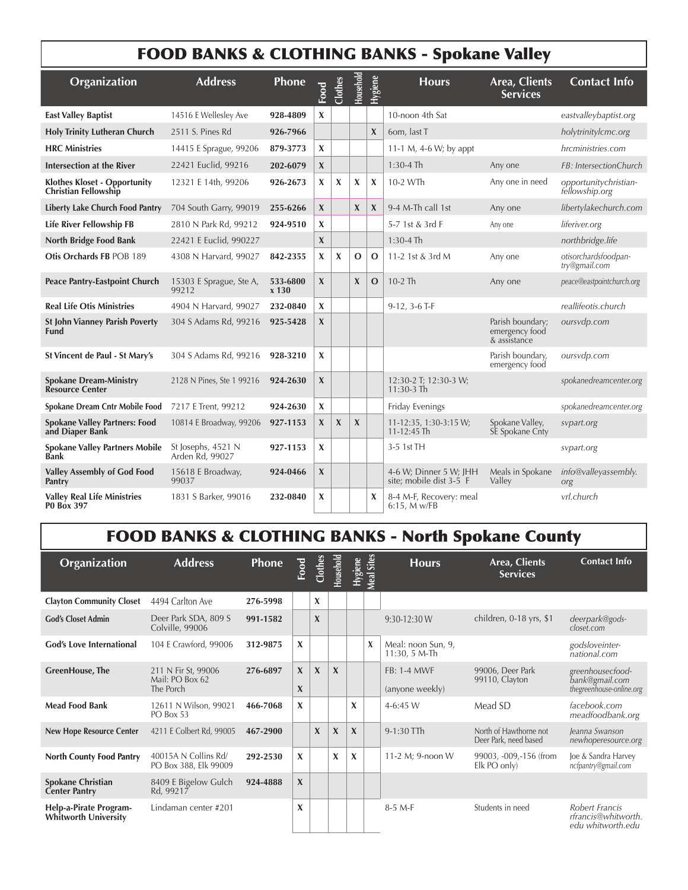### FOOD BANKS & CLOTHING BANKS - Spokane Valley

| Organization                                                       | <b>Address</b>                        | Phone               | Food             | Clothes     | <b>Household</b> | <b>Hygiene</b> | <b>Hours</b>                                      | Area, Clients<br><b>Services</b>                   | <b>Contact Info</b>                     |
|--------------------------------------------------------------------|---------------------------------------|---------------------|------------------|-------------|------------------|----------------|---------------------------------------------------|----------------------------------------------------|-----------------------------------------|
| <b>East Valley Baptist</b>                                         | 14516 E Wellesley Ave                 | 928-4809            | X                |             |                  |                | 10-noon 4th Sat                                   |                                                    | eastvalleybaptist.org                   |
| <b>Holy Trinity Lutheran Church</b>                                | 2511 S. Pines Rd                      | 926-7966            |                  |             |                  | $\mathbf{x}$   | 6om, last T                                       |                                                    | holytrinitylcmc.org                     |
| <b>HRC Ministries</b>                                              | 14415 E Sprague, 99206                | 879-3773            | X                |             |                  |                | 11-1 M, 4-6 W; by appt                            |                                                    | hrcministries.com                       |
| <b>Intersection at the River</b>                                   | 22421 Euclid, 99216                   | 202-6079            | $\boldsymbol{X}$ |             |                  |                | $1:30-4$ Th                                       | Any one                                            | FB: IntersectionChurch                  |
| <b>Klothes Kloset - Opportunity</b><br><b>Christian Fellowship</b> | 12321 E 14th, 99206                   | 926-2673            | X                | X           | X                | X              | 10-2 WTh                                          | Any one in need                                    | opportunitychristian-<br>fellowship.org |
| <b>Liberty Lake Church Food Pantry</b>                             | 704 South Garry, 99019                | 255-6266            | $\boldsymbol{X}$ |             | $\mathbf{X}$     | $\mathbf{X}$   | 9-4 M-Th call 1st                                 | Any one                                            | libertylakechurch.com                   |
| <b>Life River Fellowship FB</b>                                    | 2810 N Park Rd, 99212                 | 924-9510            | X                |             |                  |                | 5-7 1st & 3rd F                                   | Any one                                            | liferiver.org                           |
| <b>North Bridge Food Bank</b>                                      | 22421 E Euclid, 990227                |                     | $\mathbf x$      |             |                  |                | $1:30-4$ Th                                       |                                                    | northbridge.life                        |
| Otis Orchards FB POB 189                                           | 4308 N Harvard, 99027                 | 842-2355            | X                | X           | $\mathbf{O}$     | $\mathbf{O}$   | 11-2 1st & 3rd M                                  | Any one                                            | otisorchardsfoodpan-<br>try@gmail.com   |
| <b>Peace Pantry-Eastpoint Church</b>                               | 15303 E Sprague, Ste A,<br>99212      | 533-6800<br>$x$ 130 | $\mathbf x$      |             | $\mathbf{X}$     | $\mathbf{O}$   | $10-2$ Th                                         | Any one                                            | peace@eastpointchurch.org               |
| <b>Real Life Otis Ministries</b>                                   | 4904 N Harvard, 99027                 | 232-0840            | $\mathbf x$      |             |                  |                | $9-12$ , $3-6$ T-F                                |                                                    | reallifeotis.church                     |
| <b>St John Vianney Parish Poverty</b><br><b>Fund</b>               | 304 S Adams Rd, 99216                 | 925-5428            | $\boldsymbol{X}$ |             |                  |                |                                                   | Parish boundary;<br>emergency food<br>& assistance | oursvdp.com                             |
| St Vincent de Paul - St Mary's                                     | 304 S Adams Rd, 99216                 | 928-3210            | X                |             |                  |                |                                                   | Parish boundary,<br>emergency food                 | oursvdp.com                             |
| <b>Spokane Dream-Ministry</b><br>Resource Center                   | 2128 N Pines, Ste 1 99216             | 924-2630            | $\boldsymbol{X}$ |             |                  |                | 12:30-2 T; 12:30-3 W;<br>$11:30-3$ Th             |                                                    | spokanedreamcenter.org                  |
| Spokane Dream Cntr Mobile Food                                     | 7217 E Trent, 99212                   | 924-2630            | X                |             |                  |                | Friday Evenings                                   |                                                    | spokanedreamcenter.org                  |
| <b>Spokane Valley Partners: Food</b><br>and Diaper Bank            | 10814 E Broadway, 99206               | 927-1153            | $\boldsymbol{X}$ | $\mathbf x$ | $\mathbf{x}$     |                | 11-12:35, 1:30-3:15 W;<br>$11 - 12:45$ Th         | Spokane Valley,<br>SE Spokane Cnty                 | svpart.org                              |
| <b>Spokane Valley Partners Mobile</b><br>Bank                      | St Josephs, 4521 N<br>Arden Rd, 99027 | 927-1153            | X                |             |                  |                | 3-5 1st TH                                        |                                                    | svpart.org                              |
| <b>Valley Assembly of God Food</b><br>Pantry                       | 15618 E Broadway,<br>99037            | 924-0466            | $\boldsymbol{X}$ |             |                  |                | 4-6 W; Dinner 5 W; JHH<br>site; mobile dist 3-5 F | Meals in Spokane<br>Valley                         | info@valleyassembly.<br>org             |
| <b>Valley Real Life Ministries</b><br><b>PO Box 397</b>            | 1831 S Barker, 99016                  | 232-0840            | X                |             |                  | X              | 8-4 M-F, Recovery: meal<br>6:15, M w/FB           |                                                    | vrl.church                              |

## FOOD BANKS & CLOTHING BANKS - North Spokane County

| Organization                                     | <b>Address</b>                                      | <b>Phone</b> | Food                         | Clothes     | Household        | Hygiene                   | Meal Sites | <b>Hours</b>                          | Area, Clients<br><b>Services</b>                | <b>Contact Info</b>                                            |
|--------------------------------------------------|-----------------------------------------------------|--------------|------------------------------|-------------|------------------|---------------------------|------------|---------------------------------------|-------------------------------------------------|----------------------------------------------------------------|
| <b>Clayton Community Closet</b>                  | 4494 Carlton Ave                                    | 276-5998     |                              | X           |                  |                           |            |                                       |                                                 |                                                                |
| <b>God's Closet Admin</b>                        | Deer Park SDA, 809 S<br>Colville, 99006             | 991-1582     |                              | $\mathbf x$ |                  |                           |            | 9:30-12:30 W                          | children, 0-18 yrs, \$1                         | deerpark@gods-<br>closet.com                                   |
| <b>God's Love International</b>                  | 104 E Crawford, 99006                               | 312-9875     | X                            |             |                  |                           | X          | Meal: noon Sun, 9,<br>11:30, 5 M-Th   |                                                 | godsloveinter-<br>national.com                                 |
| <b>GreenHouse</b> , The                          | 211 N Fir St, 99006<br>Mail: PO Box 62<br>The Porch | 276-6897     | $\mathbf{x}$<br>$\mathbf{x}$ | $\mathbf x$ | $\mathbf{x}$     |                           |            | <b>FB: 1-4 MWF</b><br>(anyone weekly) | 99006, Deer Park<br>99110, Clayton              | greenhousecfood-<br>bank@gmail.com<br>thegreenhouse-online.org |
| <b>Mead Food Bank</b>                            | 12611 N Wilson, 99021<br>PO Box 53                  | 466-7068     | X                            |             |                  | X                         |            | 4-6:45 W                              | Mead SD                                         | facebook.com<br>meadfoodbank.org                               |
| <b>New Hope Resource Center</b>                  | 4211 E Colbert Rd, 99005                            | 467-2900     |                              | $\mathbf x$ | $\mathbf x$      | $\boldsymbol{\mathsf{X}}$ |            | 9-1:30 TTh                            | North of Hawthorne not<br>Deer Park, need based | Jeanna Swanson<br>newhoperesource.org                          |
| <b>North County Food Pantry</b>                  | 40015A N Collins Rd/<br>PO Box 388, Elk 99009       | 292-2530     | $\mathbf{x}$                 |             | $\boldsymbol{x}$ | X                         |            | 11-2 M; 9-noon W                      | 99003, -009, -156 (from<br>Elk PO only)         | Joe & Sandra Harvey<br>ncfpantry@gmail.com                     |
| <b>Spokane Christian</b><br><b>Center Pantry</b> | 8409 E Bigelow Gulch<br>Rd, 99217                   | 924-4888     | $\mathbf{x}$                 |             |                  |                           |            |                                       |                                                 |                                                                |
| Help-a-Pirate Program-<br>Whitworth University   | Lindaman center #201                                |              | X                            |             |                  |                           |            | $8-5$ M-F                             | Students in need                                | Robert Francis<br>rfrancis@whitworth.<br>edu whitworth.edu     |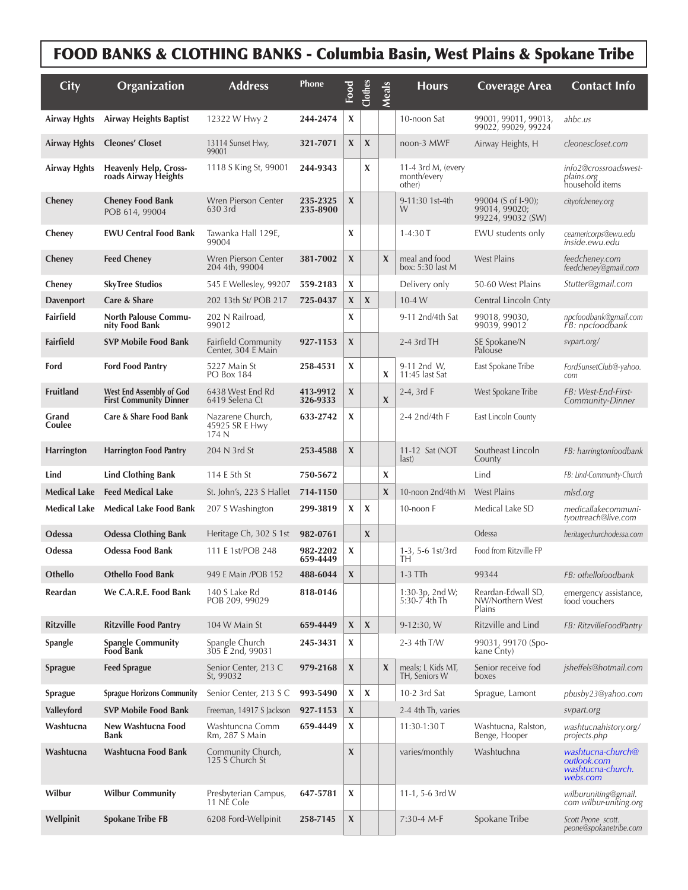## FOOD BANKS & CLOTHING BANKS - Columbia Basin, West Plains & Spokane Tribe

| <b>City</b>         | <b>Organization</b>                                              | <b>Address</b>                                   | <b>Phone</b>         | Food         | Clothes          | Meals            | <b>Hours</b>                                | <b>Coverage Area</b>                                     | <b>Contact Info</b>                                               |
|---------------------|------------------------------------------------------------------|--------------------------------------------------|----------------------|--------------|------------------|------------------|---------------------------------------------|----------------------------------------------------------|-------------------------------------------------------------------|
| <b>Airway Hghts</b> | <b>Airway Heights Baptist</b>                                    | 12322 W Hwy 2                                    | 244-2474             | X            |                  |                  | 10-noon Sat                                 | 99001, 99011, 99013,<br>99022, 99029, 99224              | ahbc.us                                                           |
| <b>Airway Hghts</b> | <b>Cleones' Closet</b>                                           | 13114 Sunset Hwy,<br>99001                       | 321-7071             | X            | X                |                  | noon-3 MWF                                  | Airway Heights, H                                        | cleonescloset.com                                                 |
| Airway Hghts        | <b>Heavenly Help, Cross-</b><br>roads Airway Heights             | 1118 S King St, 99001                            | 244-9343             |              | X                |                  | 11-4 3rd M, (every<br>month/every<br>other) |                                                          | info2@crossroadswest-<br><i>plains.org</i><br>household items     |
| Cheney              | <b>Cheney Food Bank</b><br>POB 614, 99004                        | Wren Pierson Center<br>630 3rd                   | 235-2325<br>235-8900 | X            |                  |                  | 9-11:30 1st-4th<br>W                        | 99004 (S of I-90);<br>99014, 99020;<br>99224, 99032 (SW) | cityofcheney.org                                                  |
| Cheney              | <b>EWU Central Food Bank</b>                                     | Tawanka Hall 129E,<br>99004                      |                      | X            |                  |                  | $1-4:30T$                                   | EWU students only                                        | ceamericorps@ewu.edu<br>inside.ewu.edu                            |
| Cheney              | <b>Feed Cheney</b>                                               | Wren Pierson Center<br>204 4th, 99004            | 381-7002             | $\pmb{\chi}$ |                  | $\boldsymbol{X}$ | meal and food<br>box: 5:30 last M           | <b>West Plains</b>                                       | feedcheney.com<br>feedcheney@gmail.com                            |
| Cheney              | <b>SkyTree Studios</b>                                           | 545 E Wellesley, 99207                           | 559-2183             | X            |                  |                  | Delivery only                               | 50-60 West Plains                                        | Stutter@gmail.com                                                 |
| <b>Davenport</b>    | Care & Share                                                     | 202 13th St/ POB 217                             | 725-0437             | X            | $\boldsymbol{X}$ |                  | $10-4$ W                                    | Central Lincoln Cnty                                     |                                                                   |
| Fairfield           | <b>North Palouse Commu-</b><br>nity Food Bank                    | 202 N Railroad,<br>99012                         |                      | X            |                  |                  | 9-11 2nd/4th Sat                            | 99018, 99030,<br>99039, 99012                            | npcfoodbank@gmail.com<br>FB: npcfoodbank                          |
| <b>Fairfield</b>    | <b>SVP Mobile Food Bank</b>                                      | <b>Fairfield Community</b><br>Center, 304 E Main | 927-1153             | $\pmb{\chi}$ |                  |                  | 2-4 3rd TH                                  | SE Spokane/N<br>Palouse                                  | sypart.org/                                                       |
| Ford                | <b>Ford Food Pantry</b>                                          | 5227 Main St<br>PO Box 184                       | 258-4531             | X            |                  | X                | 9-11 2nd W,<br>11:45 last Sat               | East Spokane Tribe                                       | FordSunsetClub@-yahoo.<br>com                                     |
| <b>Fruitland</b>    | <b>West End Assembly of God</b><br><b>First Community Dinner</b> | 6438 West End Rd<br>6419 Selena Ct               | 413-9912<br>326-9333 | X            |                  | $\pmb{\chi}$     | 2-4, 3rd F                                  | West Spokane Tribe                                       | FB: West-End-First-<br>Community-Dinner                           |
| Grand<br>Coulee     | Care & Share Food Bank                                           | Nazarene Church,<br>45925 SR E Hwy<br>174 N      | 633-2742             | X            |                  |                  | 2-4 2nd/4th F                               | East Lincoln County                                      |                                                                   |
| <b>Harrington</b>   | <b>Harrington Food Pantry</b>                                    | 204 N 3rd St                                     | 253-4588             | $\pmb{\chi}$ |                  |                  | 11-12 Sat (NOT<br>last)                     | Southeast Lincoln<br>County                              | FB: harringtonfoodbank                                            |
| Lind                | <b>Lind Clothing Bank</b>                                        | 114 E 5th St                                     | 750-5672             |              |                  | X                |                                             | Lind                                                     | FB: Lind-Community-Church                                         |
| <b>Medical Lake</b> | <b>Feed Medical Lake</b>                                         | St. John's, 223 S Hallet                         | 714-1150             |              |                  | $\pmb{\chi}$     | 10-noon 2nd/4th M                           | <b>West Plains</b>                                       | mlsd.org                                                          |
| Medical Lake        | <b>Medical Lake Food Bank</b>                                    | 207 S Washington                                 | 299-3819             | X            | X                |                  | 10-noon F                                   | Medical Lake SD                                          | medicallakecommuni-<br>tyoutreach@live.com                        |
| Odessa              | <b>Odessa Clothing Bank</b>                                      | Heritage Ch, 302 S 1st                           | 982-0761             |              | X                |                  |                                             | Odessa                                                   | heritagechurchodessa.com                                          |
| Odessa              | <b>Odessa Food Bank</b>                                          | 111 E 1st/POB 248                                | 982-2202<br>659-4449 | X            |                  |                  | 1-3, 5-6 1st/3rd<br>TН                      | Food from Ritzville FP                                   |                                                                   |
| Othello             | <b>Othello Food Bank</b>                                         | 949 E Main / POB 152                             | 488-6044             | $\pmb{\chi}$ |                  |                  | $1-3$ TTh                                   | 99344                                                    | FB: othellofoodbank                                               |
| Reardan             | We C.A.R.E. Food Bank                                            | 140 S Lake Rd<br>POB 209, 99029                  | 818-0146             |              |                  |                  | 1:30-3p, 2nd W;<br>5:30-7`4th Th            | Reardan-Edwall SD,<br>NW/Northern West<br>Plains         | emergency assistance,<br>food vouchers                            |
| <b>Ritzville</b>    | <b>Ritzville Food Pantry</b>                                     | 104 W Main St                                    | 659-4449             | $\mathbf x$  | X                |                  | 9-12:30, W                                  | Ritzville and Lind                                       | FB: RitzvilleFoodPantry                                           |
| Spangle             | <b>Spangle Community</b><br>Food Bank                            | Spangle Church<br>305 E 2nd, 99031               | 245-3431             | X            |                  |                  | 2-3 4th T/W                                 | 99031, 99170 (Spo-<br>kane Cnty)                         |                                                                   |
| <b>Sprague</b>      | <b>Feed Sprague</b>                                              | Senior Center, 213 C<br>St, 99032                | 979-2168             | $\mathbf x$  |                  | $\boldsymbol{X}$ | meals; L Kids MT,<br>TH, Seniors W          | Senior receive fod<br>boxes                              | jsheffels@hotmail.com                                             |
| <b>Sprague</b>      | <b>Sprague Horizons Community</b>                                | Senior Center, 213 S C                           | 993-5490             | X            | X                |                  | 10-2 3rd Sat                                | Sprague, Lamont                                          | pbusby23@yahoo.com                                                |
| Valleyford          | <b>SVP Mobile Food Bank</b>                                      | Freeman, 14917 S Jackson                         | 927-1153             | X            |                  |                  | 2-4 4th Th, varies                          |                                                          | svpart.org                                                        |
| Washtucna           | New Washtucna Food<br>Bank                                       | Washtuncna Comm<br>Rm, 287 S Main                | 659-4449             | X            |                  |                  | 11:30-1:30 T                                | Washtucna, Ralston,<br>Benge, Hooper                     | washtucnahistory.org/<br>projects.php                             |
| Washtucna           | Washtucna Food Bank                                              | Community Church,<br>125 S Church St             |                      | $\pmb{\chi}$ |                  |                  | varies/monthly                              | Washtuchna                                               | washtucna-church@<br>outlook.com<br>washtucna-church.<br>webs.com |
| Wilbur              | <b>Wilbur Community</b>                                          | Presbyterian Campus,<br>11 NE Cole               | 647-5781             | X            |                  |                  | 11-1, 5-6 3rd W                             |                                                          | wilburuniting@gmail.<br>com wilbur-uniting.org                    |
| Wellpinit           | <b>Spokane Tribe FB</b>                                          | 6208 Ford-Wellpinit                              | 258-7145             | X            |                  |                  | 7:30-4 M-F                                  | Spokane Tribe                                            | Scott Peone scott.<br>peone@spokanetribe.com                      |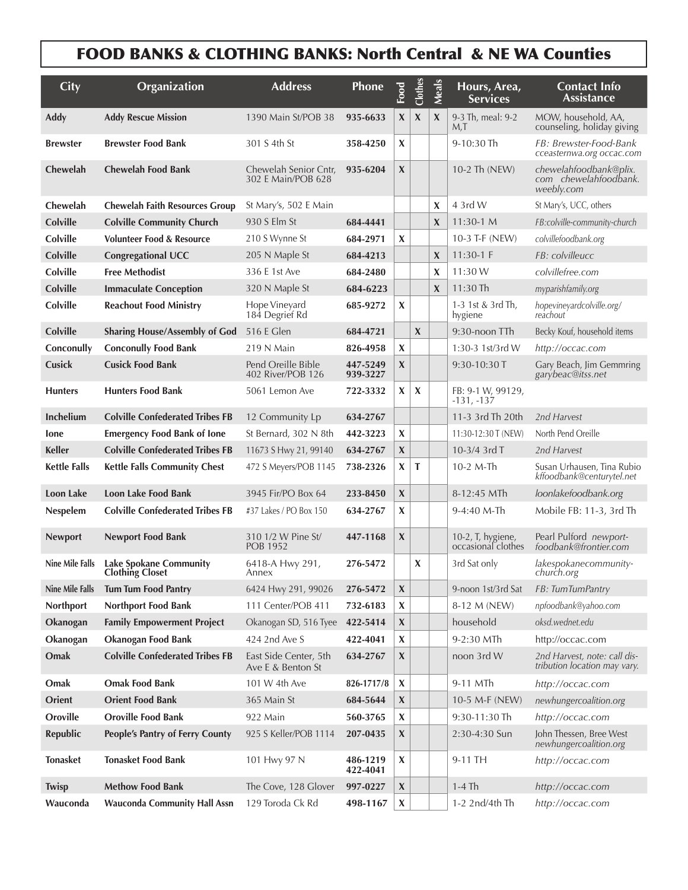#### FOOD BANKS & CLOTHING BANKS: North Central & NE WA Counties

| <b>City</b>            | Organization                                            | <b>Address</b>                              | Phone                | Food                      | Clothes                   | <b>Meals</b>              | Hours, Area,<br><b>Services</b>         | <b>Contact Info</b><br><b>Assistance</b>                      |
|------------------------|---------------------------------------------------------|---------------------------------------------|----------------------|---------------------------|---------------------------|---------------------------|-----------------------------------------|---------------------------------------------------------------|
| <b>Addy</b>            | <b>Addy Rescue Mission</b>                              | 1390 Main St/POB 38                         | 935-6633             | $\boldsymbol{\mathsf{X}}$ | $\boldsymbol{\mathsf{X}}$ | X                         | 9-3 Th, meal: 9-2<br>M,T                | MOW, household, AA,<br>counseling, holiday giving             |
| <b>Brewster</b>        | <b>Brewster Food Bank</b>                               | 301 S 4th St                                | 358-4250             | $\boldsymbol{\mathsf{X}}$ |                           |                           | 9-10:30 Th                              | FB: Brewster-Food-Bank<br>cceasternwa.org occac.com           |
| Chewelah               | <b>Chewelah Food Bank</b>                               | Chewelah Senior Cntr,<br>302 E Main/POB 628 | 935-6204             | $\boldsymbol{\mathsf{X}}$ |                           |                           | 10-2 Th (NEW)                           | chewelahfoodbank@plix.<br>com chewelahfoodbank.<br>weebly.com |
| Chewelah               | <b>Chewelah Faith Resources Group</b>                   | St Mary's, 502 E Main                       |                      |                           |                           | X                         | 4 3rd W                                 | St Mary's, UCC, others                                        |
| <b>Colville</b>        | <b>Colville Community Church</b>                        | 930 S Elm St                                | 684-4441             |                           |                           | X                         | $11:30-1 M$                             | FB:colville-community-church                                  |
| <b>Colville</b>        | <b>Volunteer Food &amp; Resource</b>                    | 210 S Wynne St                              | 684-2971             | $\boldsymbol{\mathsf{X}}$ |                           |                           | 10-3 T-F (NEW)                          | colvillefoodbank.org                                          |
| <b>Colville</b>        | <b>Congregational UCC</b>                               | 205 N Maple St                              | 684-4213             |                           |                           | $\boldsymbol{\mathsf{X}}$ | 11:30-1 $F$                             | FB: colvilleucc                                               |
| <b>Colville</b>        | <b>Free Methodist</b>                                   | 336 E 1st Ave                               | 684-2480             |                           |                           | X                         | 11:30 W                                 | colvillefree.com                                              |
| <b>Colville</b>        | <b>Immaculate Conception</b>                            | 320 N Maple St                              | 684-6223             |                           |                           | X                         | 11:30 Th                                | myparishfamily.org                                            |
| <b>Colville</b>        | <b>Reachout Food Ministry</b>                           | Hope Vineyard<br>184 Degrief Rd             | 685-9272             | $\boldsymbol{\mathsf{X}}$ |                           |                           | 1-3 1st & 3rd Th,<br>hygiene            | hopevineyardcolville.org/<br>reachout                         |
| <b>Colville</b>        | <b>Sharing House/Assembly of God</b>                    | 516 E Glen                                  | 684-4721             |                           | $\mathbf x$               |                           | 9:30-noon TTh                           | Becky Kouf, household items                                   |
| Conconully             | <b>Conconully Food Bank</b>                             | 219 N Main                                  | 826-4958             | $\boldsymbol{\mathsf{X}}$ |                           |                           | 1:30-3 1st/3rd W                        | http://occac.com                                              |
| Cusick                 | <b>Cusick Food Bank</b>                                 | Pend Oreille Bible<br>402 River/POB 126     | 447-5249<br>939-3227 | $\boldsymbol{\mathsf{X}}$ |                           |                           | 9:30-10:30 T                            | Gary Beach, Jim Gemmring<br>garybeac@itss.net                 |
| <b>Hunters</b>         | <b>Hunters Food Bank</b>                                | 5061 Lemon Ave                              | 722-3332             | X                         | X                         |                           | FB: 9-1 W, 99129,<br>$-131, -137$       |                                                               |
| <b>Inchelium</b>       | <b>Colville Confederated Tribes FB</b>                  | 12 Community Lp                             | 634-2767             |                           |                           |                           | 11-3 3rd Th 20th                        | 2nd Harvest                                                   |
| lone                   | <b>Emergency Food Bank of lone</b>                      | St Bernard, 302 N 8th                       | 442-3223             | $\boldsymbol{\mathsf{X}}$ |                           |                           | 11:30-12:30 T (NEW)                     | North Pend Oreille                                            |
| <b>Keller</b>          | <b>Colville Confederated Tribes FB</b>                  | 11673 S Hwy 21, 99140                       | 634-2767             | $\pmb{\chi}$              |                           |                           | 10-3/4 3rd T                            | 2nd Harvest                                                   |
| <b>Kettle Falls</b>    | <b>Kettle Falls Community Chest</b>                     | 472 S Meyers/POB 1145                       | 738-2326             | $\boldsymbol{\mathsf{X}}$ | T                         |                           | 10-2 M-Th                               | Susan Urhausen, Tina Rubio<br>kffoodbank@centurytel.net       |
| Loon Lake              | Loon Lake Food Bank                                     | 3945 Fir/PO Box 64                          | 233-8450             | $\pmb{\chi}$              |                           |                           | 8-12:45 MTh                             | loonlakefoodbank.org                                          |
| Nespelem               | <b>Colville Confederated Tribes FB</b>                  | #37 Lakes / PO Box 150                      | 634-2767             | $\boldsymbol{\mathsf{X}}$ |                           |                           | 9-4:40 M-Th                             | Mobile FB: 11-3, 3rd Th                                       |
| <b>Newport</b>         | <b>Newport Food Bank</b>                                | 310 1/2 W Pine St/<br><b>POB 1952</b>       | 447-1168             | $\boldsymbol{\mathsf{X}}$ |                           |                           | 10-2, T, hygiene,<br>occasional clothes | Pearl Pulford newport-<br>foodbank@frontier.com               |
| <b>Nine Mile Falls</b> | <b>Lake Spokane Community</b><br><b>Clothing Closet</b> | 6418-A Hwy 291,<br>Annex                    | 276-5472             |                           | X                         |                           | 3rd Sat only                            | lakespokanecommunity-<br>church.org                           |
| Nine Mile Falls        | Tum Tum Food Pantry                                     | 6424 Hwy 291, 99026                         | 276-5472             | $\pmb{\chi}$              |                           |                           | 9-noon 1st/3rd Sat                      | FB: TumTumPantry                                              |
| Northport              | Northport Food Bank                                     | 111 Center/POB 411                          | 732-6183             | $\pmb{\chi}$              |                           |                           | 8-12 M (NEW)                            | npfoodbank@yahoo.com                                          |
| Okanogan               | <b>Family Empowerment Project</b>                       | Okanogan SD, 516 Tyee                       | 422-5414             | $\pmb{\chi}$              |                           |                           | household                               | oksd.wednet.edu                                               |
| Okanogan               | Okanogan Food Bank                                      | 424 2nd Ave S                               | 422-4041             | $\pmb{\chi}$              |                           |                           | 9-2:30 MTh                              | http://occac.com                                              |
| Omak                   | <b>Colville Confederated Tribes FB</b>                  | East Side Center, 5th<br>Ave E & Benton St  | 634-2767             | $\boldsymbol{\mathsf{X}}$ |                           |                           | noon 3rd W                              | 2nd Harvest, note: call dis-<br>tribution location may vary.  |
| Omak                   | <b>Omak Food Bank</b>                                   | 101 W 4th Ave                               | 826-1717/8           | $\pmb{\chi}$              |                           |                           | 9-11 MTh                                | http://occac.com                                              |
| Orient                 | <b>Orient Food Bank</b>                                 | 365 Main St                                 | 684-5644             | $\boldsymbol{\mathsf{X}}$ |                           |                           | 10-5 M-F (NEW)                          | newhungercoalition.org                                        |
| Oroville               | <b>Oroville Food Bank</b>                               | 922 Main                                    | 560-3765             | $\pmb{\chi}$              |                           |                           | 9:30-11:30 Th                           | http://occac.com                                              |
| Republic               | <b>People's Pantry of Ferry County</b>                  | 925 S Keller/POB 1114                       | 207-0435             | X                         |                           |                           | 2:30-4:30 Sun                           | John Thessen, Bree West<br>newhungercoalition.org             |
| <b>Tonasket</b>        | <b>Tonasket Food Bank</b>                               | 101 Hwy 97 N                                | 486-1219<br>422-4041 | $\boldsymbol{\mathsf{X}}$ |                           |                           | 9-11 TH                                 | http://occac.com                                              |
| <b>Twisp</b>           | <b>Methow Food Bank</b>                                 | The Cove, 128 Glover                        | 997-0227             | $\pmb{\chi}$              |                           |                           | $1-4$ Th                                | http://occac.com                                              |
| Wauconda               | <b>Wauconda Community Hall Assn</b>                     | 129 Toroda Ck Rd                            | 498-1167             | $\pmb{\chi}$              |                           |                           | 1-2 2nd/4th Th                          | http://occac.com                                              |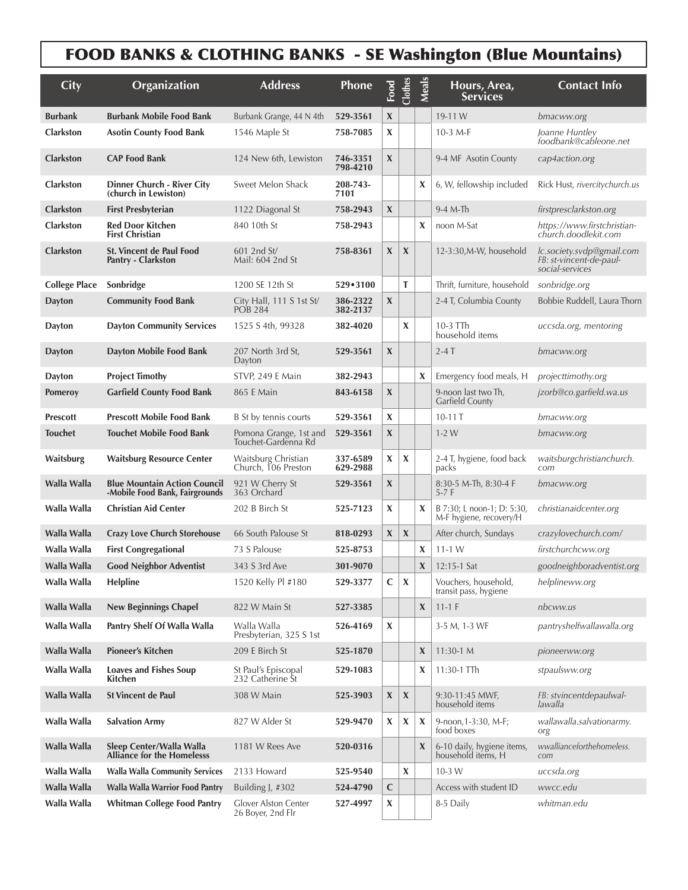## FOOD BANKS & CLOTHING BANKS - SE Washington (Blue Mountains)

| City                 | <b>Organization</b>                                                   | <b>Address</b>                                | Phone                | Food         | Clothes                   | <b>Meals</b>              | Hours, Area,<br><b>Services</b>                       | <b>Contact Info</b>                                                     |
|----------------------|-----------------------------------------------------------------------|-----------------------------------------------|----------------------|--------------|---------------------------|---------------------------|-------------------------------------------------------|-------------------------------------------------------------------------|
| <b>Burbank</b>       | <b>Burbank Mobile Food Bank</b>                                       | Burbank Grange, 44 N 4th                      | 529-3561             | X            |                           |                           | 19-11 W                                               | bmacww.org                                                              |
| Clarkston            | <b>Asotin County Food Bank</b>                                        | 1546 Maple St                                 | 758-7085             | X            |                           |                           | 10-3 $M-F$                                            | Joanne Huntley<br>foodbank@cableone.net                                 |
| <b>Clarkston</b>     | <b>CAP Food Bank</b>                                                  | 124 New 6th, Lewiston                         | 746-3351<br>798-4210 | X            |                           |                           | 9-4 MF Asotin County                                  | cap4action.org                                                          |
| Clarkston            | <b>Dinner Church - River City</b><br>(church in Lewiston)             | Sweet Melon Shack                             | 208-743-<br>7101     |              |                           | X                         | 6, W, fellowship included                             | Rick Hust, rivercitychurch.us                                           |
| <b>Clarkston</b>     | <b>First Presbyterian</b>                                             | 1122 Diagonal St                              | 758-2943             | X            |                           |                           | $9-4$ M-Th                                            | firstpresclarkston.org                                                  |
| <b>Clarkston</b>     | <b>Red Door Kitchen</b><br><b>First Christian</b>                     | 840 10th St                                   | 758-2943             |              |                           | X                         | noon M-Sat                                            | https://www.firstchristian-<br>church.doodlekit.com                     |
| <b>Clarkston</b>     | <b>St. Vincent de Paul Food</b><br>Pantry - Clarkston                 | $601$ 2nd St<br>Mail: 604 2nd St              | 758-8361             | $\mathbf x$  | $\pmb{\chi}$              |                           | 12-3:30, M-W, household                               | lc.society.svdp@gmail.com<br>FB: st-vincent-de-paul-<br>social-services |
| <b>College Place</b> | Sonbridge                                                             | 1200 SE 12th St                               | $529 \cdot 3100$     |              | т                         |                           | Thrift, furniture, household                          | sonbridge.org                                                           |
| <b>Dayton</b>        | <b>Community Food Bank</b>                                            | City Hall, 111 S 1st St/<br><b>POB 284</b>    | 386-2322<br>382-2137 | X            |                           |                           | 2-4 T, Columbia County                                | Bobbie Ruddell, Laura Thorn                                             |
| Dayton               | <b>Dayton Community Services</b>                                      | 1525 S 4th, 99328                             | 382-4020             |              | X                         |                           | $10-3$ TTh<br>household items                         | uccsda.org, mentoring                                                   |
| <b>Dayton</b>        | Dayton Mobile Food Bank                                               | 207 North 3rd St,<br>Dayton                   | 529-3561             | X            |                           |                           | $2-4$ T                                               | bmacww.org                                                              |
| Dayton               | <b>Project Timothy</b>                                                | STVP, 249 E Main                              | 382-2943             |              |                           | X                         | Emergency food meals, H                               | projecttimothy.org                                                      |
| Pomeroy              | <b>Garfield County Food Bank</b>                                      | 865 E Main                                    | 843-6158             | X            |                           |                           | 9-noon last two Th,<br>Garfield County                | jzorb@co.garfield.wa.us                                                 |
| <b>Prescott</b>      | <b>Prescott Mobile Food Bank</b>                                      | B St by tennis courts                         | 529-3561             | X            |                           |                           | $10-11$ T                                             | bmacww.org                                                              |
| <b>Touchet</b>       | <b>Touchet Mobile Food Bank</b>                                       | Pomona Grange, 1st and<br>Touchet-Gardenna Rd | 529-3561             | $\mathbf x$  |                           |                           | $1-2$ W                                               | bmacww.org                                                              |
| Waitsburg            | <b>Waitsburg Resource Center</b>                                      | Waitsburg Christian<br>Church, 106 Preston    | 337-6589<br>629-2988 | X            | X                         |                           | 2-4 T, hygiene, food back<br>packs                    | waitsburgchristianchurch.<br>com                                        |
| Walla Walla          | <b>Blue Mountain Action Council</b><br>-Mobile Food Bank, Fairgrounds | 921 W Cherry St<br>363 Orchard                | 529-3561             | X            |                           |                           | 8:30-5 M-Th, 8:30-4 F<br>$5-7$ F                      | bmacww.org                                                              |
| Walla Walla          | <b>Christian Aid Center</b>                                           | 202 B Birch St                                | 525-7123             | X            |                           | X                         | B 7:30; L noon-1; D: 5:30,<br>M-F hygiene, recovery/H | christianaidcenter.org                                                  |
| Walla Walla          | <b>Crazy Love Church Storehouse</b>                                   | 66 South Palouse St                           | 818-0293             | $\mathbf{X}$ | X                         |                           | After church, Sundays                                 | crazylovechurch.com/                                                    |
| Walla Walla          | <b>First Congregational</b>                                           | 73 S Palouse                                  | 525-8753             |              |                           | X                         | $11 - 1 W$                                            | firstchurchcww.org                                                      |
| Walla Walla          | <b>Good Neighbor Adventist</b>                                        | 343 S 3rd Ave                                 | 301-9070             |              |                           | X                         | $12:15-1$ Sat                                         | goodneighboradventist.org                                               |
| Walla Walla          | <b>Helpline</b>                                                       | 1520 Kelly Pl #180                            | 529-3377             | $\mathsf{C}$ | $\boldsymbol{\mathsf{X}}$ |                           | Vouchers, household,<br>transit pass, hygiene         | helplineww.org                                                          |
| Walla Walla          | <b>New Beginnings Chapel</b>                                          | 822 W Main St                                 | 527-3385             |              |                           | X                         | $11-1 F$                                              | nbcww.us                                                                |
| Walla Walla          | Pantry Shelf Of Walla Walla                                           | Walla Walla<br>Presbyterian, 325 S 1st        | 526-4169             | X            |                           |                           | 3-5 M, 1-3 WF                                         | pantryshelfwallawalla.org                                               |
| Walla Walla          | <b>Pioneer's Kitchen</b>                                              | 209 E Birch St                                | 525-1870             |              |                           | X                         | $11:30-1 M$                                           | pioneerww.org                                                           |
| Walla Walla          | <b>Loaves and Fishes Soup</b><br>Kitchen                              | St Paul's Episcopal<br>232 Catherine St       | 529-1083             |              |                           | X                         | $11:30-1$ TTh                                         | stpaulsww.org                                                           |
| Walla Walla          | <b>St Vincent de Paul</b>                                             | 308 W Main                                    | 525-3903             | $\mathbf{X}$ | X                         |                           | 9:30-11:45 MWF,<br>household items                    | FB: stvincentdepaulwal-<br>lawalla                                      |
| Walla Walla          | <b>Salvation Army</b>                                                 | 827 W Alder St                                | 529-9470             | X            | $\boldsymbol{\mathsf{X}}$ | $\boldsymbol{\mathsf{X}}$ | 9-noon, 1-3:30, M-F;<br>food boxes                    | wallawalla.salvationarmy.<br>org                                        |
| Walla Walla          | Sleep Center/Walla Walla<br><b>Alliance for the Homelesss</b>         | 1181 W Rees Ave                               | 520-0316             |              |                           | X                         | 6-10 daily, hygiene items,<br>household items, H      | wwallianceforthehomeless.<br>com                                        |
| Walla Walla          | <b>Walla Walla Community Services</b>                                 | 2133 Howard                                   | 525-9540             |              | X                         |                           | 10-3 W                                                | uccsda.org                                                              |
| Walla Walla          | Walla Walla Warrior Food Pantry                                       | Building J, #302                              | 524-4790             | $\mathsf{C}$ |                           |                           | Access with student ID                                | wwcc.edu                                                                |
| Walla Walla          | <b>Whitman College Food Pantry</b>                                    | Glover Alston Center<br>26 Boyer, 2nd Flr     | 527-4997             | X            |                           |                           | 8-5 Daily                                             | whitman.edu                                                             |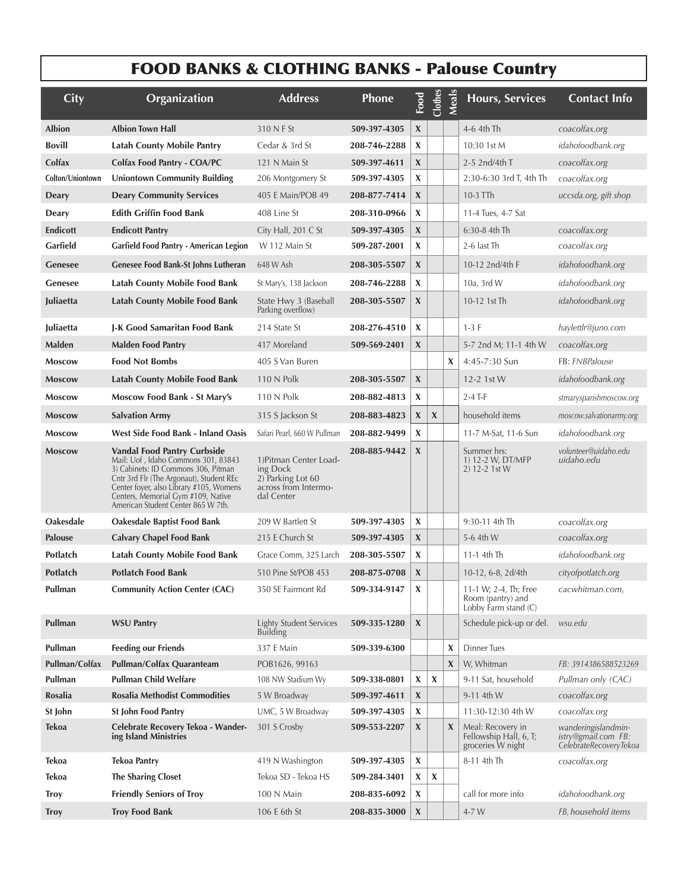# FOOD BANKS & CLOTHING BANKS - Palouse Country

| City             | Organization                                                                                                                                                                                                                                                                        | <b>Address</b>                                                                                | <b>Phone</b> | Food                      | Clothes                   | Meal                      | <b>Hours, Services</b>                                             | <b>Contact Info</b>                                                  |
|------------------|-------------------------------------------------------------------------------------------------------------------------------------------------------------------------------------------------------------------------------------------------------------------------------------|-----------------------------------------------------------------------------------------------|--------------|---------------------------|---------------------------|---------------------------|--------------------------------------------------------------------|----------------------------------------------------------------------|
| <b>Albion</b>    | <b>Albion Town Hall</b>                                                                                                                                                                                                                                                             | 310 N F St                                                                                    | 509-397-4305 | X                         |                           |                           | 4-6 4th Th                                                         | coacolfax.org                                                        |
| <b>Bovill</b>    | <b>Latah County Mobile Pantry</b>                                                                                                                                                                                                                                                   | Cedar & 3rd St                                                                                | 208-746-2288 | X                         |                           |                           | 10:30 1st M                                                        | <i>idahofoodbank.org</i>                                             |
| Colfax           | Colfax Food Pantry - COA/PC                                                                                                                                                                                                                                                         | 121 N Main St                                                                                 | 509-397-4611 | X                         |                           |                           | 2-5 2nd/4th T                                                      | coacolfax.org                                                        |
| Colton/Uniontown | <b>Uniontown Community Building</b>                                                                                                                                                                                                                                                 | 206 Montgomery St                                                                             | 509-397-4305 | X                         |                           |                           | 2:30-6:30 3rd T, 4th Th                                            | coacolfax.org                                                        |
| Deary            | <b>Deary Community Services</b>                                                                                                                                                                                                                                                     | 405 E Main/POB 49                                                                             | 208-877-7414 | X                         |                           |                           | 10-3 TTh                                                           | uccsda.org, gift shop                                                |
| Deary            | <b>Edith Griffin Food Bank</b>                                                                                                                                                                                                                                                      | 408 Line St                                                                                   | 208-310-0966 | X                         |                           |                           | 11-4 Tues, 4-7 Sat                                                 |                                                                      |
| <b>Endicott</b>  | <b>Endicott Pantry</b>                                                                                                                                                                                                                                                              | City Hall, 201 C St                                                                           | 509-397-4305 | X                         |                           |                           | 6:30-8 4th Th                                                      | coacolfax.org                                                        |
| Garfield         | Garfield Food Pantry - American Legion                                                                                                                                                                                                                                              | W 112 Main St                                                                                 | 509-287-2001 | X                         |                           |                           | 2-6 last Th                                                        | coacolfax.org                                                        |
| Genesee          | Genesee Food Bank-St Johns Lutheran                                                                                                                                                                                                                                                 | 648 W Ash                                                                                     | 208-305-5507 | X                         |                           |                           | 10-12 2nd/4th F                                                    | idahofoodbank.org                                                    |
| Genesee          | <b>Latah County Mobile Food Bank</b>                                                                                                                                                                                                                                                | St Mary's, 138 Jackson                                                                        | 208-746-2288 | X                         |                           |                           | $10a$ , 3rd W                                                      | idahofoodbank.org                                                    |
| Juliaetta        | <b>Latah County Mobile Food Bank</b>                                                                                                                                                                                                                                                | State Hwy 3 (Baseball<br>Parking overflow)                                                    | 208-305-5507 | X                         |                           |                           | 10-12 1st Th                                                       | idahofoodbank.org                                                    |
| Juliaetta        | J-K Good Samaritan Food Bank                                                                                                                                                                                                                                                        | 214 State St                                                                                  | 208-276-4510 | X                         |                           |                           | $1-3$ F                                                            | haylettlr@juno.com                                                   |
| <b>Malden</b>    | <b>Malden Food Pantry</b>                                                                                                                                                                                                                                                           | 417 Moreland                                                                                  | 509-569-2401 | X                         |                           |                           | 5-7 2nd M; 11-1 4th W                                              | coacolfax.org                                                        |
| <b>Moscow</b>    | <b>Food Not Bombs</b>                                                                                                                                                                                                                                                               | 405 S Van Buren                                                                               |              |                           |                           | X                         | 4:45-7:30 Sun                                                      | FB: FNBPalouse                                                       |
| <b>Moscow</b>    | <b>Latah County Mobile Food Bank</b>                                                                                                                                                                                                                                                | 110 N Polk                                                                                    | 208-305-5507 | X                         |                           |                           | 12-2 1st W                                                         | idahofoodbank.org                                                    |
| <b>Moscow</b>    | Moscow Food Bank - St Mary's                                                                                                                                                                                                                                                        | 110 N Polk                                                                                    | 208-882-4813 | X                         |                           |                           | $2-4$ T-F                                                          | stmarysparishmoscow.org                                              |
| <b>Moscow</b>    | <b>Salvation Army</b>                                                                                                                                                                                                                                                               | 315 S Jackson St                                                                              | 208-883-4823 | X                         | $\pmb{\chi}$              |                           | household items                                                    | moscow.salvationarmy.org                                             |
| <b>Moscow</b>    | West Side Food Bank - Inland Oasis                                                                                                                                                                                                                                                  | Safari Pearl, 660 W Pullman                                                                   | 208-882-9499 | $\pmb{\chi}$              |                           |                           | 11-7 M-Sat, 11-6 Sun                                               | idahofoodbank.org                                                    |
| <b>Moscow</b>    | <b>Vandal Food Pantry Curbside</b><br>Mail: Uof, Idaho Commons 301, 83843<br>3) Cabinets: ID Commons 306, Pitman<br>Cntr 3rd Flr (The Argonaut), Student REc<br>Center foyer, also Library #105, Womens<br>Centers, Memorial Gym #109, Native<br>American Student Center 865 W 7th. | 1) Pitman Center Load-<br>ing Dock<br>2) Parking Lot 60<br>across from Intermo-<br>dal Center | 208-885-9442 | X                         |                           |                           | Summer hrs:<br>1) 12-2 W, DT/MFP<br>2) 12-2 1st W                  | volunteer@uidaho.edu<br>uidaho.edu                                   |
| Oakesdale        | Oakesdale Baptist Food Bank                                                                                                                                                                                                                                                         | 209 W Bartlett St                                                                             | 509-397-4305 | X                         |                           |                           | 9:30-11 4th Th                                                     | coacolfax.org                                                        |
| <b>Palouse</b>   | <b>Calvary Chapel Food Bank</b>                                                                                                                                                                                                                                                     | 215 E Church St                                                                               | 509-397-4305 | $\boldsymbol{\mathsf{X}}$ |                           |                           | 5-6 4th W                                                          | coacolfax.org                                                        |
| Potlatch         | <b>Latah County Mobile Food Bank</b>                                                                                                                                                                                                                                                | Grace Comm, 325 Larch                                                                         | 208-305-5507 | X                         |                           |                           | 11-1 4th Th                                                        | idahofoodbank.org                                                    |
| Potlatch         | <b>Potlatch Food Bank</b>                                                                                                                                                                                                                                                           | 510 Pine St/POB 453                                                                           | 208-875-0708 | X                         |                           |                           | 10-12, 6-8, 2d/4th                                                 | cityofpotlatch.org                                                   |
| Pullman          | <b>Community Action Center (CAC)</b>                                                                                                                                                                                                                                                | 350 SE Fairmont Rd                                                                            | 509-334-9147 | X                         |                           |                           | 11-1 W; 2-4, Th; Free<br>Room (pantry) and<br>Lobby Farm stand (C) | cacwhitman.com,                                                      |
| Pullman          | <b>WSU Pantry</b>                                                                                                                                                                                                                                                                   | <b>Lighty Student Services</b><br><b>Building</b>                                             | 509-335-1280 | X                         |                           |                           | Schedule pick-up or del.                                           | wsu.edu                                                              |
| Pullman          | <b>Feeding our Friends</b>                                                                                                                                                                                                                                                          | 337 E Main                                                                                    | 509-339-6300 |                           |                           | X                         | <b>Dinner Tues</b>                                                 |                                                                      |
| Pullman/Colfax   | Pullman/Colfax Quaranteam                                                                                                                                                                                                                                                           | POB1626, 99163                                                                                |              |                           |                           | $\boldsymbol{\mathsf{X}}$ | W, Whitman                                                         | FB: 3914386588523269                                                 |
| Pullman          | <b>Pullman Child Welfare</b>                                                                                                                                                                                                                                                        | 108 NW Stadium Wy                                                                             | 509-338-0801 | $\mathbf x$               | $\boldsymbol{\mathsf{X}}$ |                           | 9-11 Sat, household                                                | Pullman only (CAC)                                                   |
| Rosalia          | <b>Rosalia Methodist Commodities</b>                                                                                                                                                                                                                                                | 5 W Broadway                                                                                  | 509-397-4611 | X                         |                           |                           | 9-11 4th W                                                         | coacolfax.org                                                        |
| St John          | St John Food Pantry                                                                                                                                                                                                                                                                 | UMC, 5 W Broadway                                                                             | 509-397-4305 | X                         |                           |                           | 11:30-12:30 4th W                                                  | coacolfax.org                                                        |
| <b>Tekoa</b>     | Celebrate Recovery Tekoa - Wander-<br>ing Island Ministries                                                                                                                                                                                                                         | 301 S Crosby                                                                                  | 509-553-2207 | X                         |                           | $\boldsymbol{\mathsf{X}}$ | Meal: Recovery in<br>Fellowship Hall, 6, T;<br>groceries W night   | wanderingislandmin-<br>istry@gmail.com FB:<br>CelebrateRecoveryTekoa |
| <b>Tekoa</b>     | <b>Tekoa Pantry</b>                                                                                                                                                                                                                                                                 | 419 N Washington                                                                              | 509-397-4305 | $\mathbf x$               |                           |                           | 8-11 4th Th                                                        | coacolfax.org                                                        |
| <b>Tekoa</b>     | <b>The Sharing Closet</b>                                                                                                                                                                                                                                                           | Tekoa SD - Tekoa HS                                                                           | 509-284-3401 | X                         | $\boldsymbol{\mathsf{X}}$ |                           |                                                                    |                                                                      |
| <b>Troy</b>      | <b>Friendly Seniors of Troy</b>                                                                                                                                                                                                                                                     | 100 N Main                                                                                    | 208-835-6092 | X                         |                           |                           | call for more info                                                 | idahofoodbank.org                                                    |
| <b>Troy</b>      | <b>Troy Food Bank</b>                                                                                                                                                                                                                                                               | 106 E 6th St                                                                                  | 208-835-3000 | X                         |                           |                           | 4-7 W                                                              | FB, household items                                                  |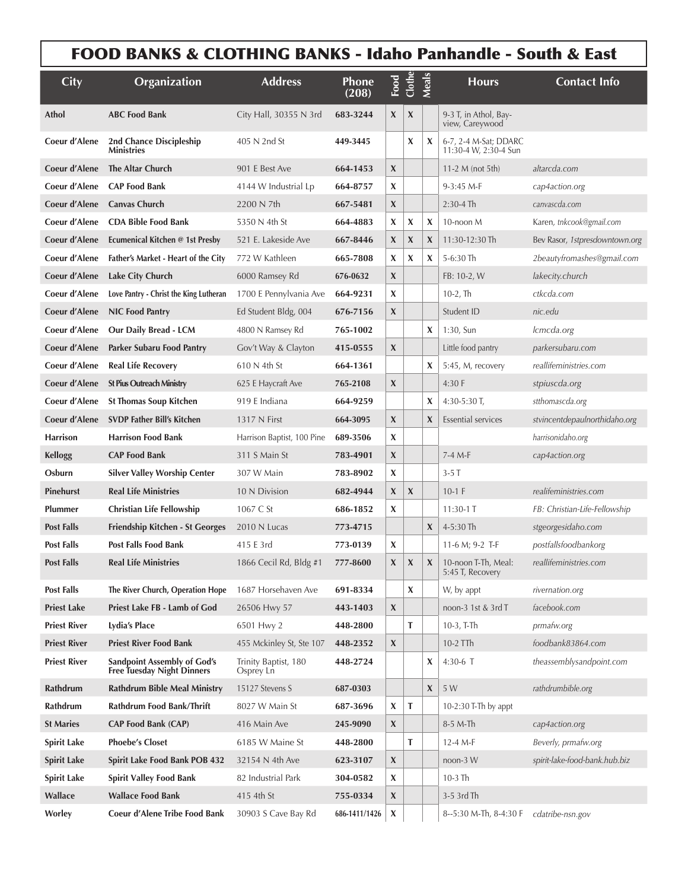|                     | <b>FOOD BANKS &amp; CLOTHING BANKS - Idaho Panhandle - South &amp; East</b> |                                   |                |                           |                           |       |                                                |                                |
|---------------------|-----------------------------------------------------------------------------|-----------------------------------|----------------|---------------------------|---------------------------|-------|------------------------------------------------|--------------------------------|
| <b>City</b>         | Organization                                                                | <b>Address</b>                    | Phone<br>(208) | Food                      | Clother                   | Meals | <b>Hours</b>                                   | Contact Info                   |
| <b>Athol</b>        | <b>ABC Food Bank</b>                                                        | City Hall, 30355 N 3rd            | 683-3244       | X                         | $\boldsymbol{\mathsf{X}}$ |       | 9-3 T, in Athol, Bay-<br>view, Careywood       |                                |
| Coeur d'Alene       | 2nd Chance Discipleship<br><b>Ministries</b>                                | 405 N 2nd St                      | 449-3445       |                           | X                         | X     | 6-7, 2-4 M-Sat; DDARC<br>11:30-4 W, 2:30-4 Sun |                                |
| Coeur d'Alene       | The Altar Church                                                            | 901 E Best Ave                    | 664-1453       | $\boldsymbol{X}$          |                           |       | 11-2 $M$ (not 5th)                             | altarcda.com                   |
| Coeur d'Alene       | <b>CAP Food Bank</b>                                                        | 4144 W Industrial Lp              | 664-8757       | X                         |                           |       | $9-3:45$ M-F                                   | cap4action.org                 |
| Coeur d'Alene       | <b>Canvas Church</b>                                                        | 2200 N 7th                        | 667-5481       | X                         |                           |       | $2:30-4$ Th                                    | canvascda.com                  |
| Coeur d'Alene       | <b>CDA Bible Food Bank</b>                                                  | 5350 N 4th St                     | 664-4883       | X                         | X                         | X     | 10-noon M                                      | Karen, tnkcook@gmail.com       |
| Coeur d'Alene       | Ecumenical Kitchen @ 1st Presby                                             | 521 E. Lakeside Ave               | 667-8446       | $\boldsymbol{X}$          | $\boldsymbol{\mathsf{X}}$ | X     | 11:30-12:30 Th                                 | Bev Rasor, 1stpresdowntown.org |
| Coeur d'Alene       | <b>Father's Market - Heart of the City</b>                                  | 772 W Kathleen                    | 665-7808       | X                         | X                         | X     | 5-6:30 Th                                      | 2beautyfromashes@gmail.com     |
| Coeur d'Alene       | Lake City Church                                                            | 6000 Ramsey Rd                    | 676-0632       | $\boldsymbol{X}$          |                           |       | FB: 10-2, W                                    | lakecity.church                |
| Coeur d'Alene       | Love Pantry - Christ the King Lutheran                                      | 1700 E Pennylvania Ave            | 664-9231       | X                         |                           |       | $10-2$ , Th                                    | ctkcda.com                     |
| Coeur d'Alene       | <b>NIC Food Pantry</b>                                                      | Ed Student Bldg, 004              | 676-7156       | X                         |                           |       | Student ID                                     | nic.edu                        |
| Coeur d'Alene       | Our Daily Bread - LCM                                                       | 4800 N Ramsey Rd                  | 765-1002       |                           |                           | X     | 1:30, Sun                                      | lcmcda.org                     |
| Coeur d'Alene       | Parker Subaru Food Pantry                                                   | Gov't Way & Clayton               | 415-0555       | X                         |                           |       | Little food pantry                             | parkersubaru.com               |
| Coeur d'Alene       | <b>Real Life Recovery</b>                                                   | 610 N 4th St                      | 664-1361       |                           |                           | X     | 5:45, M, recovery                              | reallifeministries.com         |
| Coeur d'Alene       | <b>St Pius Outreach Ministry</b>                                            | 625 E Haycraft Ave                | 765-2108       | X                         |                           |       | 4:30 F                                         | stpiuscda.org                  |
| Coeur d'Alene       | <b>St Thomas Soup Kitchen</b>                                               | 919 E Indiana                     | 664-9259       |                           |                           | X     | 4:30-5:30 T,                                   | stthomascda.org                |
| Coeur d'Alene       | SVDP Father Bill's Kitchen                                                  | 1317 N First                      | 664-3095       | X                         |                           | X     | <b>Essential services</b>                      | stvincentdepaulnorthidaho.org  |
| <b>Harrison</b>     | <b>Harrison Food Bank</b>                                                   | Harrison Baptist, 100 Pine        | 689-3506       | X                         |                           |       |                                                | harrisonidaho.org              |
| <b>Kellogg</b>      | <b>CAP Food Bank</b>                                                        | 311 S Main St                     | 783-4901       | X                         |                           |       | 7-4 M-F                                        | cap4action.org                 |
| Osburn              | <b>Silver Valley Worship Center</b>                                         | 307 W Main                        | 783-8902       | X                         |                           |       | $3-5T$                                         |                                |
| Pinehurst           | <b>Real Life Ministries</b>                                                 | 10 N Division                     | 682-4944       | X                         | X                         |       | $10-1$ F                                       | realifeministries.com          |
| Plummer             | Christian Life Fellowship                                                   | 1067 C St                         | 686-1852       | X                         |                           |       | $11:30-1$ T                                    | FB: Christian-Life-Fellowship  |
| <b>Post Falls</b>   | <b>Friendship Kitchen - St Georges</b>                                      | 2010 N Lucas                      | 773-4715       |                           |                           | X     | $4 - 5:30$ Th                                  | stgeorgesidaho.com             |
| <b>Post Falls</b>   | Post Falls Food Bank                                                        | 415 E 3rd                         | 773-0139       | X                         |                           |       | 11-6 M; 9-2 T-F                                | postfallsfoodbankorg           |
| <b>Post Falls</b>   | <b>Real Life Ministries</b>                                                 | 1866 Cecil Rd, Bldg #1            | 777-8600       | X                         | X                         | X     | 10-noon T-Th, Meal:<br>5:45 T, Recovery        | reallifeministries.com         |
| <b>Post Falls</b>   | The River Church, Operation Hope                                            | 1687 Horsehaven Ave               | 691-8334       |                           | X                         |       | W, by appt                                     | rivernation.org                |
| <b>Priest Lake</b>  | Priest Lake FB - Lamb of God                                                | 26506 Hwy 57                      | 443-1403       | X                         |                           |       | noon-3 1st & 3rd T                             | facebook.com                   |
| <b>Priest River</b> | Lydia's Place                                                               | 6501 Hwy 2                        | 448-2800       |                           | т                         |       | $10-3$ , T-Th                                  | prmafw.org                     |
| <b>Priest River</b> | <b>Priest River Food Bank</b>                                               | 455 Mckinley St, Ste 107          | 448-2352       | X                         |                           |       | 10-2 TTh                                       | foodbank83864.com              |
| <b>Priest River</b> | <b>Sandpoint Assembly of God's</b><br>Free Tuesday Night Dinners            | Trinity Baptist, 180<br>Osprey Ln | 448-2724       |                           |                           | X     | 4:30-6 T                                       | theassemblysandpoint.com       |
| Rathdrum            | <b>Rathdrum Bible Meal Ministry</b>                                         | 15127 Stevens S                   | 687-0303       |                           |                           | X     | 5 W                                            | rathdrumbible.org              |
| Rathdrum            | Rathdrum Food Bank/Thrift                                                   | 8027 W Main St                    | 687-3696       | X                         | Т                         |       | 10-2:30 T-Th by appt                           |                                |
| <b>St Maries</b>    | CAP Food Bank (CAP)                                                         | 416 Main Ave                      | 245-9090       | X                         |                           |       | 8-5 M-Th                                       | cap4action.org                 |
| <b>Spirit Lake</b>  | <b>Phoebe's Closet</b>                                                      | 6185 W Maine St                   | 448-2800       |                           | T                         |       | 12-4 M-F                                       | Beverly, prmafw.org            |
| <b>Spirit Lake</b>  | Spirit Lake Food Bank POB 432                                               | 32154 N 4th Ave                   | 623-3107       | X                         |                           |       | noon-3 W                                       | spirit-lake-food-bank.hub.biz  |
| <b>Spirit Lake</b>  | <b>Spirit Valley Food Bank</b>                                              | 82 Industrial Park                | 304-0582       | X                         |                           |       | 10-3 Th                                        |                                |
| Wallace             | <b>Wallace Food Bank</b>                                                    | 415 4th St                        | 755-0334       | X                         |                           |       | 3-5 3rd Th                                     |                                |
| Worley              | Coeur d'Alene Tribe Food Bank                                               | 30903 S Cave Bay Rd               | 686-1411/1426  | $\boldsymbol{\mathsf{X}}$ |                           |       | 8--5:30 M-Th, 8-4:30 F                         | cdatribe-nsn.gov               |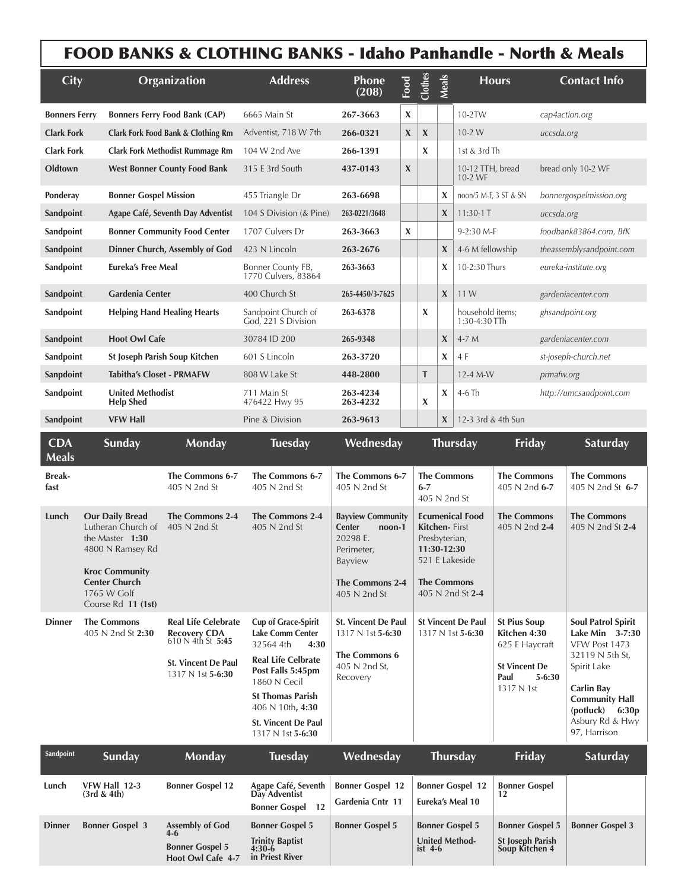## FOOD BANKS & CLOTHING BANKS - Idaho Panhandle - North & Meals

 $\overline{1}$ 

 $\mathbf{I}$ 

| <b>City</b>                              |                                                                                                                                                                           | Organization                                                                                                                | <b>Address</b>                                                                                                                                                                                                                                 | <b>Phone</b><br>(208)                                                                                                       | Food                      | Clothes                                                                                                                                     | Meals            |                                                                                                                   | <b>Hours</b>                                                        |                                                                                                                                                                                                       | <b>Contact Info</b>                    |  |
|------------------------------------------|---------------------------------------------------------------------------------------------------------------------------------------------------------------------------|-----------------------------------------------------------------------------------------------------------------------------|------------------------------------------------------------------------------------------------------------------------------------------------------------------------------------------------------------------------------------------------|-----------------------------------------------------------------------------------------------------------------------------|---------------------------|---------------------------------------------------------------------------------------------------------------------------------------------|------------------|-------------------------------------------------------------------------------------------------------------------|---------------------------------------------------------------------|-------------------------------------------------------------------------------------------------------------------------------------------------------------------------------------------------------|----------------------------------------|--|
| <b>Bonners Ferry</b>                     |                                                                                                                                                                           | <b>Bonners Ferry Food Bank (CAP)</b>                                                                                        | 6665 Main St                                                                                                                                                                                                                                   | 267-3663                                                                                                                    | X                         |                                                                                                                                             |                  | 10-2TW                                                                                                            |                                                                     | cap4action.org                                                                                                                                                                                        |                                        |  |
| <b>Clark Fork</b>                        |                                                                                                                                                                           | Clark Fork Food Bank & Clothing Rm                                                                                          | Adventist, 718 W 7th                                                                                                                                                                                                                           | 266-0321                                                                                                                    | $\pmb{\chi}$              | $\boldsymbol{\chi}$                                                                                                                         |                  | $10-2 W$                                                                                                          |                                                                     | uccsda.org                                                                                                                                                                                            |                                        |  |
| <b>Clark Fork</b>                        |                                                                                                                                                                           | <b>Clark Fork Methodist Rummage Rm</b>                                                                                      | 104 W 2nd Ave                                                                                                                                                                                                                                  | 266-1391                                                                                                                    |                           | X                                                                                                                                           |                  | 1st & 3rd Th                                                                                                      |                                                                     |                                                                                                                                                                                                       |                                        |  |
| Oldtown                                  | <b>West Bonner County Food Bank</b>                                                                                                                                       |                                                                                                                             | 315 E 3rd South                                                                                                                                                                                                                                | 437-0143                                                                                                                    | $\boldsymbol{\mathsf{X}}$ |                                                                                                                                             |                  | 10-12 TTH, bread<br>10-2 WF                                                                                       |                                                                     |                                                                                                                                                                                                       | bread only 10-2 WF                     |  |
| Ponderay<br><b>Bonner Gospel Mission</b> |                                                                                                                                                                           |                                                                                                                             | 455 Triangle Dr                                                                                                                                                                                                                                | 263-6698                                                                                                                    |                           |                                                                                                                                             | X                | noon/5 M-F, 3 ST & SN                                                                                             |                                                                     | bonnergospelmission.org                                                                                                                                                                               |                                        |  |
| Sandpoint                                | Agape Café, Seventh Day Adventist                                                                                                                                         |                                                                                                                             | 104 S Division (& Pine)                                                                                                                                                                                                                        | 263-0221/3648                                                                                                               |                           |                                                                                                                                             | X                | $11:30-1$ T                                                                                                       |                                                                     | uccsda.org                                                                                                                                                                                            |                                        |  |
| Sandpoint                                | <b>Bonner Community Food Center</b>                                                                                                                                       |                                                                                                                             | 1707 Culvers Dr                                                                                                                                                                                                                                | 263-3663                                                                                                                    | X                         |                                                                                                                                             |                  | 9-2:30 M-F                                                                                                        |                                                                     | foodbank83864.com, BfK                                                                                                                                                                                |                                        |  |
| Sandpoint                                | Dinner Church, Assembly of God                                                                                                                                            |                                                                                                                             | 423 N Lincoln                                                                                                                                                                                                                                  | 263-2676                                                                                                                    |                           |                                                                                                                                             | $\boldsymbol{X}$ |                                                                                                                   | 4-6 M fellowship                                                    |                                                                                                                                                                                                       | theassemblysandpoint.com               |  |
| Sandpoint                                | Eureka's Free Meal                                                                                                                                                        |                                                                                                                             | Bonner County FB,<br>1770 Culvers, 83864                                                                                                                                                                                                       | 263-3663                                                                                                                    |                           |                                                                                                                                             | X                | 10-2:30 Thurs                                                                                                     |                                                                     |                                                                                                                                                                                                       | eureka-institute.org                   |  |
| Gardenia Center<br>Sandpoint             |                                                                                                                                                                           | 400 Church St                                                                                                               | 265-4450/3-7625                                                                                                                                                                                                                                |                                                                                                                             |                           | $\boldsymbol{\mathsf{X}}$                                                                                                                   | 11 W             |                                                                                                                   |                                                                     | gardeniacenter.com                                                                                                                                                                                    |                                        |  |
|                                          | Sandpoint<br><b>Helping Hand Healing Hearts</b>                                                                                                                           |                                                                                                                             | Sandpoint Church of<br>God, 221 S Division                                                                                                                                                                                                     | 263-6378                                                                                                                    |                           | X                                                                                                                                           |                  | household items;<br>1:30-4:30 TTh                                                                                 |                                                                     | ghsandpoint.org                                                                                                                                                                                       |                                        |  |
| Sandpoint                                | <b>Hoot Owl Cafe</b>                                                                                                                                                      |                                                                                                                             | 30784 ID 200                                                                                                                                                                                                                                   | 265-9348                                                                                                                    |                           |                                                                                                                                             | X                | 4-7 M                                                                                                             |                                                                     |                                                                                                                                                                                                       | gardeniacenter.com                     |  |
| Sandpoint                                |                                                                                                                                                                           | St Joseph Parish Soup Kitchen                                                                                               | 601 S Lincoln                                                                                                                                                                                                                                  | 263-3720                                                                                                                    |                           |                                                                                                                                             | X                | 4 F                                                                                                               |                                                                     | st-joseph-church.net                                                                                                                                                                                  |                                        |  |
| Sanpdoint                                | <b>Tabitha's Closet - PRMAFW</b>                                                                                                                                          |                                                                                                                             | 808 W Lake St                                                                                                                                                                                                                                  | 448-2800                                                                                                                    |                           | T                                                                                                                                           |                  | 12-4 M-W                                                                                                          |                                                                     | prmafw.org                                                                                                                                                                                            |                                        |  |
| Sandpoint                                | <b>United Methodist</b><br><b>Help Shed</b>                                                                                                                               |                                                                                                                             | 711 Main St<br>476422 Hwy 95                                                                                                                                                                                                                   | 263-4234<br>263-4232                                                                                                        |                           | X                                                                                                                                           | X                | $4-6$ Th                                                                                                          |                                                                     | http://umcsandpoint.com                                                                                                                                                                               |                                        |  |
| Sandpoint                                | <b>VFW Hall</b>                                                                                                                                                           |                                                                                                                             | Pine & Division                                                                                                                                                                                                                                | 263-9613                                                                                                                    |                           |                                                                                                                                             | X                | 12-3 3rd & 4th Sun                                                                                                |                                                                     |                                                                                                                                                                                                       |                                        |  |
| <b>CDA</b><br><b>Meals</b>               | Sunday                                                                                                                                                                    | <b>Monday</b>                                                                                                               | <b>Tuesday</b>                                                                                                                                                                                                                                 | Wednesday                                                                                                                   |                           |                                                                                                                                             |                  | Thursday                                                                                                          | Friday                                                              |                                                                                                                                                                                                       | Saturday                               |  |
| <b>Break-</b><br>fast                    |                                                                                                                                                                           | The Commons 6-7<br>405 N 2nd St                                                                                             | The Commons 6-7<br>405 N 2nd St                                                                                                                                                                                                                | The Commons 6-7<br>405 N 2nd St                                                                                             |                           | $6 - 7$<br>405 N 2nd St                                                                                                                     |                  | <b>The Commons</b>                                                                                                | <b>The Commons</b><br>405 N 2nd 6-7                                 |                                                                                                                                                                                                       | <b>The Commons</b><br>405 N 2nd St 6-7 |  |
| Lunch                                    | <b>Our Daily Bread</b><br>Lutheran Church of<br>the Master 1:30<br>4800 N Ramsey Rd<br><b>Kroc Community</b><br><b>Center Church</b><br>1765 W Golf<br>Course Rd 11 (1st) | The Commons 2-4<br>405 N 2nd St                                                                                             | <b>The Commons 2-4</b><br>405 N 2nd St                                                                                                                                                                                                         | <b>Bayview Community</b><br>Center<br>noon-1<br>20298 E.<br>Perimeter,<br>Bayview<br><b>The Commons 2-4</b><br>405 N 2nd St |                           | <b>Ecumenical Food</b><br><b>Kitchen-</b> First<br>Presbyterian,<br>11:30-12:30<br>521 E Lakeside<br><b>The Commons</b><br>405 N 2nd St 2-4 |                  |                                                                                                                   | <b>The Commons</b><br>405 N 2nd 2-4                                 |                                                                                                                                                                                                       | <b>The Commons</b><br>405 N 2nd St 2-4 |  |
| <b>Dinner</b>                            | <b>The Commons</b><br>405 N 2nd St 2:30                                                                                                                                   | <b>Real Life Celebrate</b><br><b>Recovery CDA</b><br>$610 N$ 4th St 5:45<br><b>St. Vincent De Paul</b><br>1317 N 1st 5-6:30 | <b>Cup of Grace-Spirit</b><br><b>Lake Comm Center</b><br>32564 4th<br>4:30<br><b>Real Life Celbrate</b><br>Post Falls 5:45pm<br>1860 N Cecil<br><b>St Thomas Parish</b><br>406 N 10th, 4:30<br><b>St. Vincent De Paul</b><br>1317 N 1st 5-6:30 | <b>St. Vincent De Paul</b><br>1317 N 1st 5-6:30<br><b>The Commons 6</b><br>405 N 2nd St,<br>Recovery                        |                           | <b>St Vincent De Paul</b><br>1317 N 1st 5-6:30                                                                                              |                  | <b>St Pius Soup</b><br>Kitchen 4:30<br>625 E Haycraft<br><b>St Vincent De</b><br>Paul<br>$5 - 6:30$<br>1317 N 1st |                                                                     | <b>Soul Patrol Spirit</b><br>Lake Min 3-7:30<br>VFW Post 1473<br>32119 N 5th St,<br>Spirit Lake<br><b>Carlin Bay</b><br><b>Community Hall</b><br>$(potluck)$ 6:30p<br>Asbury Rd & Hwy<br>97, Harrison |                                        |  |
| Sandpoint                                | Sunday                                                                                                                                                                    | <b>Monday</b>                                                                                                               | <b>Tuesday</b>                                                                                                                                                                                                                                 | Wednesday                                                                                                                   |                           |                                                                                                                                             |                  | <b>Thursday</b>                                                                                                   | Friday                                                              |                                                                                                                                                                                                       | Saturday                               |  |
| Lunch                                    | VFW Hall 12-3<br>(3rd & 4th)                                                                                                                                              | <b>Bonner Gospel 12</b>                                                                                                     | Agape Café, Seventh<br>Day Adventist<br><b>Bonner Gospel 12</b>                                                                                                                                                                                | <b>Bonner Gospel 12</b><br>Gardenia Cntr 11                                                                                 |                           |                                                                                                                                             |                  | <b>Bonner Gospel 12</b><br>Eureka's Meal 10                                                                       | <b>Bonner Gospel</b>                                                |                                                                                                                                                                                                       |                                        |  |
| <b>Dinner</b>                            | <b>Bonner Gospel 3</b>                                                                                                                                                    | <b>Assembly of God</b><br>4-6<br><b>Bonner Gospel 5</b><br>Hoot Owl Cafe 4-7                                                | <b>Bonner Gospel 5</b><br><b>Trinity Baptist</b><br>$4:30-6$<br>in Priest River                                                                                                                                                                | <b>Bonner Gospel 5</b>                                                                                                      |                           | <b>Bonner Gospel 5</b><br><b>United Method-</b><br>ist $4-6$                                                                                |                  |                                                                                                                   | <b>Bonner Gospel 5</b><br><b>St Joseph Parish</b><br>Soup Kitchen 4 |                                                                                                                                                                                                       | <b>Bonner Gospel 3</b>                 |  |